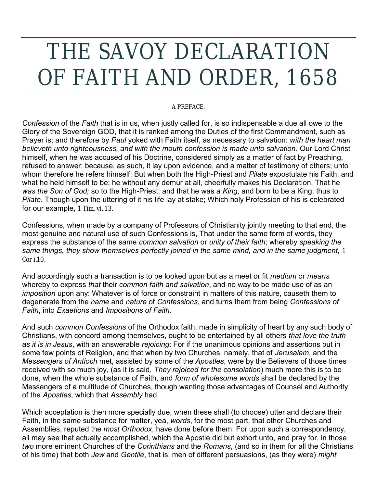# *THE SAVOY DECLARATION OF FAITH AND ORDER, 1658*

#### A PREFACE.

*Confession* of the *Faith* that is in us, when justly called for, is so indispensable a due all owe to the Glory of the Sovereign GOD, that it is ranked among the Duties of the first Commandment, such as Prayer is; and therefore by *Paul* yoked with Faith itself, as necessary to salvation: *with the heart man believeth unto righteousness, and with the mouth confession is made unto salvation*. Our Lord Christ himself, when he was accused of his Doctrine, considered simply as a matter of fact by Preaching, refused to answer; because, as such, it lay upon evidence, and a matter of testimony of others; unto whom therefore he refers himself: But when both the High-Priest and *Pilate* expostulate his Faith, and what he held himself to be; he without any demur at all, cheerfully makes his Declaration, That he *was the Son of God;* so to the High-Priest: and that he was a *King*, and born to be a King; thus to *Pilate*. Though upon the uttering of it his life lay at stake; Which holy Profession of his is celebrated for our example, *1 Tim. vi. 13*.

Confessions, when made by a company of Professors of Christianity jointly meeting to that end, the most genuine and natural use of such Confessions is, That under the same form of words, they express the substance of the same *common salvation* or *unity of their faith*; whereby *speaking the same things, they show themselves perfectly joined in the same mind, and in the same judgment, 1 Cor i.10*.

And accordingly such a transaction is to be looked upon but as a meet or fit *medium* or *means* whereby to express *that* their *common faith and salvation*, and no way to be made use of as an *imposition* upon any: Whatever is of force or constraint in matters of this nature, causeth them to degenerate from the *name* and *nature* of *Confessions*, and turns them from being *Confessions of Faith*, into *Exaetions* and *Impositions of Faith*.

And such *common Confessions* of the Orthodox faith, made in simplicity of heart by any such body of Christians, with concord among themselves, ought to be entertained by all others *that love the truth as it is in Jesus*, with an answerable *rejoicing*: For if the unanimous opinions and assertions but in some few points of Religion, and that when by two Churches, namely, that of *Jerusalem*, and the *Messengers of Antioch* met, assisted by some of the *Apostles*, were by the Believers of those times received with so much joy, (as it is said, *They rejoiced for the consolation*) much more this is to be done, when the whole substance of Faith, and *form of wholesome words* shall be declared by the Messengers of a multitude of Churches, though wanting those advantages of Counsel and Authority of the *Apostles*, which that *Assembly* had.

Which acceptation is then more specially due, when these shall (to choose) utter and declare their Faith, in the same substance for matter, yea, *words*, for the most part, that other Churches and Assemblies, reputed the *most Orthodox*, have done before them: For upon such a correspondency, all may see that actually accomplished, which the Apostle did but exhort unto, and pray for, in those *two* more eminent Churches of the *Corinthians* and the *Romans*, (and so in them for all the Christians of his time) that both *Jew* and *Gentile*, that is, men of different persuasions, (as they were) *might*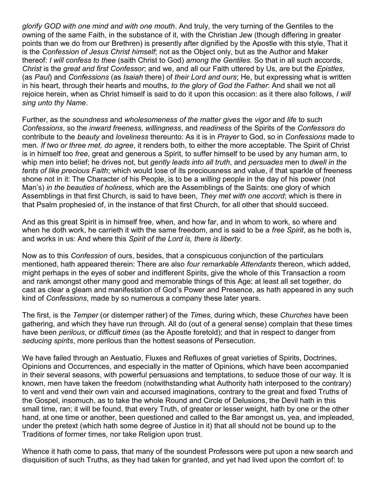*glorify GOD with one mind and with one mouth*. And truly, the very turning of the Gentiles to the owning of the same Faith, in the substance of it, with the Christian Jew (though differing in greater points than we do from our Brethren) is presently after dignified by the Apostle with this style, That it is the *Confession of Jesus Christ himself*; not as the Object only, but as the Author and Maker thereof: *I will confess to thee* (saith Christ to God) *among the Gentiles*. So that in all such accords, *Christ* is the *great and first Confessor*; and we, and all our Faith uttered by Us, are but the *Epistles*, (as *Paul*) and *Confessions* (as *Isaiah* there) of *their Lord and ours*; He, but expressing what is written in his heart, through their hearts and mouths, *to the glory of God the Father*: And shall we not all rejoice herein, when as Christ himself is said to do it upon this occasion: as it there also follows, *I will sing unto thy Name*.

Further, as the *soundness* and *wholesomeness of the matter gives* the *vigor* and *life* to such *Confessions*, so the *inward freeness, willingness*, and *readiness* of the Spirits of the *Confessors* do contribute to the *beauty* and *loveliness* thereunto: As it is in *Prayer* to God, so in *Confessions* made to men. *If two or three met, do agree*, it renders both, to either the more acceptable. The Spirit of Christ is in himself too *free*, great and generous a Spirit, to suffer himself to be used by any human arm, to whip men into belief; he drives not, but *gently leads into all truth*, and *persuades* men to *dwell in the tents of like precious Faith*; which would lose of its preciousness and value, if that sparkle of freeness shone not in it: The Character of his People, is to be a *willing* people in the day of his power (not Man's) *in the beauties of holiness*, which are the Assemblings of the Saints: one glory of which Assemblings in that first Church, is said to have been, *They met with one accord*; which is there in that Psalm prophesied of, in the instance of that first Church, for all other that should succeed.

And as this great Spirit is in himself free, when, and how far, and in whom to work, so where and when he doth work, he carrieth it with the same freedom, and is said to be a *free Spirit*, as he both is, and works in us: And where this *Spirit of the Lord is, there is liberty*.

Now as to this *Confession* of ours, besides, that a conspicuous conjunction of the particulars mentioned, hath appeared therein: There are also *four remarkable Attendants* thereon, which added, might perhaps in the eyes of sober and indifferent Spirits, give the whole of this Transaction a room and rank amongst other many good and memorable things of this Age; at least all set together, do cast as clear a gleam and manifestation of God's Power and Presence, as hath appeared in any such kind of *Confessions*, made by so numerous a company these later years.

The first, is the *Temper* (or distemper rather) of the *Times*, during which, these *Churches* have been gathering, and which they have run through. All do (out of a general sense) complain that these times have been *perilous*, or *difficult times* (as the Apostle foretold); and that in respect to danger from *seducing spirits*, more perilous than the hottest seasons of Persecution.

We have failed through an Aestuatio, Fluxes and Refluxes of great varieties of Spirits, Doctrines, Opinions and Occurrences, and especially in the matter of Opinions, which have been accompanied in their several seasons, with powerful persuasions and temptations, to seduce those of our way. It is known, men have taken the freedom (notwithstanding what Authority hath interposed to the contrary) to vent and vend their own vain and accursed imaginations, contrary to the great and fixed Truths of the Gospel, insomuch, as to take the whole Round and Circle of Delusions, the Devil hath in this small time, ran; it will be found, that every Truth, of greater or lesser weight, hath by one or the other hand, at one time or another, been questioned and called to the Bar amongst us, yea, and impleaded, under the pretext (which hath some degree of Justice in it) that all should not be bound up to the Traditions of former times, nor take Religion upon trust.

Whence it hath come to pass, that many of the soundest Professors were put upon a new search and disquisition of such Truths, as they had taken for granted, and yet had lived upon the comfort of: to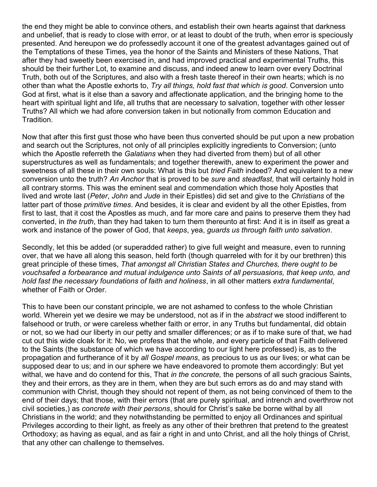the end they might be able to convince others, and establish their own hearts against that darkness and unbelief, that is ready to close with error, or at least to doubt of the truth, when error is speciously presented. And hereupon we do professedly account it one of the greatest advantages gained out of the Temptations of these Times, yea the honor of the Saints and Ministers of these Nations, That after they had sweetly been exercised in, and had improved practical and experimental Truths, this should be their further Lot, to examine and discuss, and indeed anew to learn over every Doctrinal Truth, both out of the Scriptures, and also with a fresh taste thereof in their own hearts; which is no other than what the Apostle exhorts to, *Try all things, hold fast that which is good*. Conversion unto God at first, what is it else than a savory and affectionate application, and the bringing home to the heart with spiritual light and life, all truths that are necessary to salvation, together with other lesser Truths? All which we had afore conversion taken in but notionally from common Education and Tradition.

Now that after this first gust those who have been thus converted should be put upon a new probation and search out the Scriptures, not only of all principles explicitly ingredients to Conversion; (unto which the Apostle referreth the *Galatians* when they had diverted from them) but of all other superstructures as well as fundamentals; and together therewith, anew to experiment the power and sweetness of all these in their own souls: What is this but *tried Faith* indeed? And equivalent to a new conversion unto the truth? *An Anchor* that is proved to be *sure* and *steadfast*, that will certainly hold in all contrary storms. This was the eminent seal and commendation which those holy Apostles that lived and wrote last (*Peter*, *John* and *Jude* in their Epistles) did set and give to the *Christians* of the latter part of those *primitive times*. And besides, it is clear and evident by all the other Epistles, from first to last, that it cost the Apostles as much, and far more care and pains to preserve them they had converted, in *the truth*, than they had taken to turn them thereunto at first: And it is in itself as great a work and instance of the power of God, that *keeps*, yea, *guards us through faith unto salvation*.

Secondly, let this be added (or superadded rather) to give full weight and measure, even to running over, that we have all along this season, held forth (though quarreled with for it by our brethren) this great principle of these times, *That amongst all Christian States and Churches, there ought to be vouchsafed a forbearance and mutual indulgence unto Saints of all persuasions, that keep unto, and hold fast the necessary foundations of faith and holiness*, in all other matters *extra fundamental*, whether of Faith or Order.

This to have been our constant principle, we are not ashamed to confess to the whole Christian world. Wherein yet we desire we may be understood, not as if in the *abstract* we stood indifferent to falsehood or truth, or were careless whether faith or error, in any Truths but fundamental, did obtain or not, so we had our liberty in our petty and smaller differences; or as if to make sure of that, we had cut out this wide cloak for it: No, we profess that the whole, and every particle of that Faith delivered to the Saints (the substance of which we have according to our light here professed) is, as to the propagation and furtherance of it by *all Gospel means*, as precious to us as our lives; or what can be supposed dear to us; and in our sphere we have endeavored to promote them accordingly: But yet withal, we have and do contend for this, That *in the concrete,* the persons of all such gracious Saints, they and their errors, as they are in them, when they are but such errors as do and may stand with communion with Christ, though they should not repent of them, as not being convinced of them to the end of their days; that those, with their errors (that are purely spiritual, and intrench and overthrow not civil societies,) as *concrete with their persons*, should for Christ's sake be borne withal by all Christians in the world; and they notwithstanding be permitted to enjoy all Ordinances and spiritual Privileges according to their light, as freely as any other of their brethren that pretend to the greatest Orthodoxy; as having as equal, and as fair a right in and unto Christ, and all the holy things of Christ, that any other can challenge to themselves.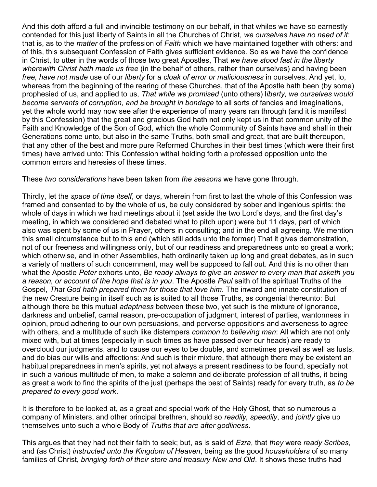And this doth afford a full and invincible testimony on our behalf, in that whiles we have so earnestly contended for this just liberty of Saints in all the Churches of Christ, *we ourselves have no need of it*: that is, as to the *matter* of the profession of *Faith* which we have maintained together with others: and of this, this subsequent Confession of Faith gives sufficient evidence. So as we have the confidence in Christ, to utter in the words of those two great Apostles, That *we have stood fast in the liberty wherewith Christ hath made us free* (in the behalf of others, rather than ourselves) and having been *free, have not made* use of our *liberty* for *a cloak of error or maliciousness* in ourselves. And yet, lo, whereas from the beginning of the rearing of these Churches, that of the Apostle hath been (by some) prophesied of us, and applied to us, *That while we promised* (unto others) l*iberty, we ourselves would become servants of corruption, and be brought in bondage* to all sorts of fancies and imaginations, yet the whole world may now see after the experience of many years ran through (and it is manifest by this Confession) that the great and gracious God hath not only kept us in that common unity of the Faith and Knowledge of the Son of God, which the whole Community of Saints have and shall in their Generations come unto, but also in the same Truths, both small and great, that are built thereupon, that any other of the best and more pure Reformed Churches in their best times (which were their first times) have arrived unto: This Confession withal holding forth a professed opposition unto the common errors and heresies of these times.

These *two considerations* have been taken from *the seasons* we have gone through.

Thirdly, let the *space of time itself*, or days, wherein from first to last the whole of this Confession was framed and consented to by the whole of us, be duly considered by sober and ingenious spirits: the whole of days in which we had meetings about it (set aside the two Lord's days, and the first day's meeting, in which we considered and debated what to pitch upon) were but 11 days, part of which also was spent by some of us in Prayer, others in consulting; and in the end all agreeing. We mention this small circumstance but to this end (which still adds unto the former) That it gives demonstration, not of our freeness and willingness only, but of our readiness and preparedness unto so great a work; which otherwise, and in other Assemblies, hath ordinarily taken up long and great debates, as in such a variety of matters of such concernment, may well be supposed to fall out. And this is no other than what the Apostle *Peter* exhorts unto, *Be ready always to give an answer to every man that asketh you a reason, or account of the hope that is in you*. The Apostle *Paul* saith of the spiritual Truths of the Gospel, *That God hath prepared them for those that love him*. The inward and innate constitution of the new Creature being in itself such as is suited to all those Truths, as congenial thereunto: But although there be this mutual *adaptness* between these two, yet such is the mixture of ignorance, darkness and unbelief, carnal reason, pre-occupation of judgment, interest of parties, wantonness in opinion, proud adhering to our own persuasions, and perverse oppositions and averseness to agree with others, and a multitude of such like distempers *common to believing man*: All which are not only mixed with, but at times (especially in such times as have passed over our heads) are ready to overcloud our judgments, and to cause our eyes to be double, and sometimes prevail as well as lusts, and do bias our wills and affections: And such is their mixture, that although there may be existent an habitual preparedness in men's spirits, yet not always a present readiness to be found, specially not in such a various multitude of men, to make a solemn and deliberate profession of all truths, it being as great a work to find the spirits of the just (perhaps the best of Saints) ready for every truth, as *to be prepared to every good work*.

It is therefore to be looked at, as a great and special work of the Holy Ghost, that so numerous a company of Ministers, and other principal brethren, should so *readily, speedily*, and *jointly* give up themselves unto such a whole Body of *Truths that are after godliness*.

This argues that they had not their faith to seek; but, as is said of *Ezra*, that *they* were *ready Scribes*, and (as Christ) *instructed unto the Kingdom of Heaven*, being as the good *householders* of so many families of Christ, *bringing forth of their store and treasury New and Old*. It shows these truths had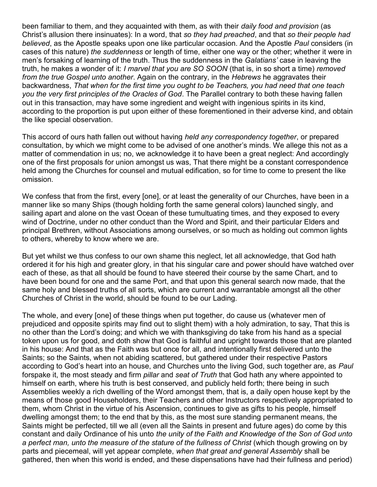been familiar to them, and they acquainted with them, as with their *daily food and provision* (as Christ's allusion there insinuates): In a word, that *so they had preached*, and that *so their people had believed*, as the Apostle speaks upon one like particular occasion. And the Apostle *Paul* considers (in cases of this nature) *the suddenness* or length of time, either one way or the other; whether it were in men's forsaking of learning of the truth. Thus the suddenness in the *Galatians'* case in leaving the truth, he makes a wonder of it: *I marvel that you are SO SOON* (that is, in so short a time) *removed from the true Gospel unto another*. Again on the contrary, in the *Hebrews* he aggravates their backwardness, *That when for the first time you ought to be Teachers, you had need that one teach you the very first principles of the Oracles of God*. The Parallel contrary to both these having fallen out in this transaction, may have some ingredient and weight with ingenious spirits in its kind, according to the proportion is put upon either of these forementioned in their adverse kind, and obtain the like special observation.

This accord of ours hath fallen out without having *held any correspondency together*, or prepared consultation, by which we might come to be advised of one another's minds. We allege this not as a matter of commendation in us; no, we acknowledge it to have been a great neglect: And accordingly one of the first proposals for union amongst us was, That there might be a constant correspondence held among the Churches for counsel and mutual edification, so for time to come to present the like omission.

We confess that from the first, every [one], or at least the generality of our Churches, have been in a manner like so many Ships (though holding forth the same general colors) launched singly, and sailing apart and alone on the vast Ocean of these tumultuating times, and they exposed to every wind of Doctrine, under no other conduct than the Word and Spirit, and their particular Elders and principal Brethren, without Associations among ourselves, or so much as holding out common lights to others, whereby to know where we are.

But yet whilst we thus confess to our own shame this neglect, let all acknowledge, that God hath ordered it for his high and greater glory, in that his singular care and power should have watched over each of these, as that all should be found to have steered their course by the same Chart, and to have been bound for one and the same Port, and that upon this general search now made, that the same holy and blessed truths of all sorts, which are current and warrantable amongst all the other Churches of Christ in the world, should be found to be our Lading.

The whole, and every [one] of these things when put together, do cause us (whatever men of prejudiced and opposite spirits may find out to slight them) with a holy admiration, to say, That this is no other than the Lord's doing; and which we with thanksgiving do take from his hand as a special token upon us for good, and doth show that God is faithful and upright towards those that are planted in his house: And that as the Faith was but once for all, and intentionally first delivered unto the Saints; so the Saints, when not abiding scattered, but gathered under their respective Pastors according to God's heart into an house, and Churches unto the living God, such together are, as *Paul* forspake it, the most steady and firm *pillar* and *seat of Truth* that God hath any where appointed to himself on earth, where his truth is best conserved, and publicly held forth; there being in such Assemblies weekly a rich dwelling of the Word amongst them, that is, a daily open house kept by the means of those good Householders, their Teachers and other Instructors respectively appropriated to them, whom Christ in the virtue of his Ascension, continues to give as gifts to his people, himself dwelling amongst them; to the end that by this, as the most sure standing permanent means, the Saints might be perfected, till we all (even all the Saints in present and future ages) do come by this constant and daily Ordinance of his unto *the unity of the Faith and Knowledge of the Son of God unto a perfect man, unto the measure of the stature of the fullness of Christ* (which though growing on by parts and piecemeal, will yet appear complete, *when that great and general Assembly* shall be gathered, then when this world is ended, and these dispensations have had their fullness and period)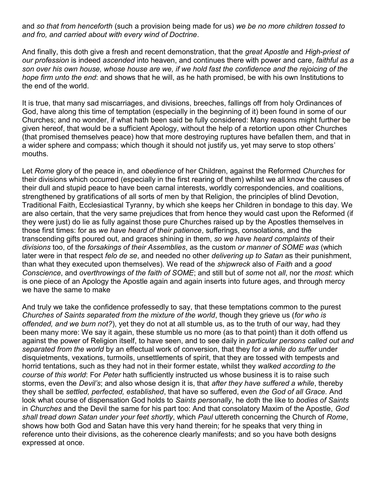and *so that from henceforth* (such a provision being made for us) *we be no more children tossed to and fro, and carried about with every wind of Doctrine*.

And finally, this doth give a fresh and recent demonstration, that the *great Apostle* and *High-priest of our profession* is indeed *ascended* into heaven, and continues there with power and care, *faithful as a son over his own house, whose house are we, if we hold fast the confidence and the rejoicing of the hope firm unto the end*: and shows that he will, as he hath promised, be with his own Institutions to the end of the world.

It is true, that many sad miscarriages, and divisions, breeches, fallings off from holy Ordinances of God, have along this time of temptation (especially in the beginning of it) been found in some of our Churches; and no wonder, if what hath been said be fully considered: Many reasons might further be given hereof, that would be a sufficient Apology, without the help of a retortion upon other Churches (that promised themselves peace) how that more destroying ruptures have befallen them, and that in a wider sphere and compass; which though it should not justify us, yet may serve to stop others' mouths.

Let *Rome* glory of the peace in, and *obedience* of her Children, against the Reformed *Churches* for their divisions which occurred (especially in the first rearing of them) whilst we all know the causes of their dull and stupid peace to have been carnal interests, worldly correspondencies, and coalitions, strengthened by gratifications of all sorts of men by that Religion, the principles of blind Devotion, Traditional Faith, Ecclesiastical Tyranny, by which she keeps her Children in bondage to this day. We are also certain, that the very same prejudices that from hence they would cast upon the Reformed (if they were just) do lie as fully against those pure Churches raised up by the Apostles themselves in those first times: for as *we have heard of their patience*, sufferings, consolations, and the transcending gifts poured out, and graces shining in them, *so we have heard complaints* of their *divisions* too, of the *forsakings of their Assemblies*, as the custom *or manner of SOME was* (which later were in that respect *felo de se*, and needed no other *delivering up to Satan* as their punishment, than what they executed upon themselves). We read of the *shipwreck* also of *Faith* and a *good Conscience*, and *overthrowings of the faith of SOME*; and still but of *some* not *all*, nor the *most*: which is one piece of an Apology the Apostle again and again inserts into future ages, and through mercy we have the same to make

And truly we take the confidence professedly to say, that these temptations common to the purest *Churches of Saints separated from the mixture of the world*, though they grieve us (*for who is offended, and we burn not?*), yet they do not at all stumble us, as to the truth of our way, had they been many more: We say it again, these stumble us no more (as to that point) than it doth offend us against the power of Religion itself, to have seen, and to see daily in *particular persons called out and separated from the world* by an effectual work of conversion, that they for *a while do suffer* under disquietments, vexations, turmoils, unsettlements of spirit, that they are tossed with tempests and horrid tentations, such as they had not in their former estate, whilst they *walked according to the course of this world*: For *Peter* hath sufficiently instructed us whose business it is to raise such storms, even the *Devil's*; and also whose design it is, that *after they have suffered a while*, thereby they shall be *settled, perfected, established*, that have so suffered, even *the God of all Grace.* And look what course of dispensation God holds to *Saints personally*, he doth the like to *bodies of Saints* in *Churches* and the Devil the same for his part too: And that consolatory Maxim of the Apostle, *God shall tread down Satan under your feet shortly*, which *Paul* uttereth concerning the Church of *Rome*, shows how both God and Satan have this very hand therein; for he speaks that very thing in reference unto their divisions, as the coherence clearly manifests; and so you have both designs expressed at once.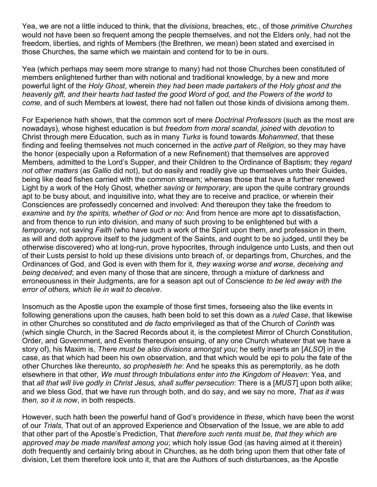Yea, we are not a little induced to think, that the *divisions*, breaches, etc., of those *primitive Churches* would not have been so frequent among the people themselves, and not the Elders only, had not the freedom, liberties, and rights of Members (the Brethren, we mean) been stated and exercised in those Churches, the same which we maintain and contend for to be in ours.

Yea (which perhaps may seem more strange to many) had not those Churches been constituted of members enlightened further than with notional and traditional knowledge, by a new and more powerful light of the *Holy Ghost*, wherein *they had been made partakers of the Holy ghost and the heavenly gift, and their hearts had tasted the good Word of god, and the Powers of the world to come*, and of such Members at lowest, there had not fallen out those kinds of divisions among them.

For Experience hath shown, that the common sort of mere *Doctrinal Professors* (such as the most are nowadays), whose highest education is but *freedom from moral scandal, joined* with *devotion* to Christ through mere Education, such as in many *Turks* is found towards *Mohammed*, that these finding and feeling themselves not much concerned in the *active part* of *Religion*, so they may have the honor (especially upon a Reformation of a new Refinement) that themselves are approved Members, admitted to the Lord's Supper, and their Children to the Ordinance of Baptism; they *regard not other matters* (as *Gallio* did not), but do easily and readily give up themselves unto their Guides, being like dead fishes carried with the common stream; whereas those that have a further renewed Light by a work of the Holy Ghost, whether *saving* or *temporary*, are upon the quite contrary grounds apt to be busy about, and inquisitive into, what they are to receive and practice, or wherein their Consciences are professedly concerned and involved: And thereupon they take the freedom to *examine* and *try the spirits, whether of God or no*: And from hence are more apt to dissatisfaction, and from thence to run into division, and many of such proving to be enlightened but with a *temporary*, not saving *Faith* (who have such a work of the Spirit upon them, and profession in them, as will and doth approve itself to the judgment of the Saints, and ought to be so judged, until they be otherwise discovered) who at long-run, prove hypocrites, through indulgence unto Lusts, and then out of their Lusts persist to hold up these divisions unto breach of, or departings from, Churches, and the Ordinances of God, and God is even with them for it*, they waxing worse and worse, deceiving and being deceived*; and even many of those that are sincere, through a mixture of darkness and erroneousness in their Judgments, are for a season apt out of Conscience *to be led away with the error of others, which lie in wait to deceive*.

Insomuch as the Apostle upon the example of those first times, forseeing also the like events in following generations upon the causes, hath been bold to set this down as a *ruled Case*, that likewise in other Churches so constituted and *de facto* emprivileged as that of the Church of *Corinth* was (which single Church, in the Sacred Records about it, is the completest Mirror of Church Constitution, Order, and Government, and Events thereupon ensuing, of any one Church whatever that we have a story of), his Maxim is, *There must be also divisions amongst you*; he setly inserts an [*ALSO*] in the case, as that which had been his own observation, and that which would be epi to polu the fate of the other Churches like thereunto, *so prophesieth he*: And he speaks this as peremptorily, as he doth elsewhere in that other*, We must through tribulations enter into the Kingdom of Heaven*: Yea, and that *all that will live godly in Christ Jesus, shall suffer persecution*: There is a [*MUST*] upon both alike; and we bless God, that we have run through both, and do say, and we say no more, *That as it was then, so it is now*, in both respects.

However, such hath been the powerful hand of God's providence in *these*, which have been the worst of our *Trials*, That out of an approved Experience and Observation of the Issue, we are able to add that other part of the Apostle's Prediction, That *therefore such rents must be, that they which are approved may be made manifest among you*; which holy issue God (as having aimed at it therein) doth frequently and certainly bring about in Churches, as he doth bring upon them that other fate of division, Let them therefore look unto it, that are the Authors of such disturbances, as the Apostle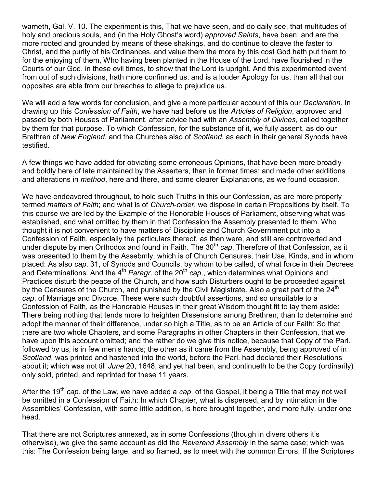warneth, Gal. V. 10. The experiment is this, That we have seen, and do daily see, that multitudes of holy and precious souls, and (in the Holy Ghost's word) *approved Saints*, have been, and are the more rooted and grounded by means of these shakings, and do continue to cleave the faster to Christ, and the purity of his Ordinances, and value them the more by this cost God hath put them to for the enjoying of them, Who having been planted in the House of the Lord, have flourished in the Courts of our God, in these evil times, to show that the Lord is upright. And this experimented event from out of such divisions, hath more confirmed us, and is a louder Apology for us, than all that our opposites are able from our breaches to allege to prejudice us.

We will add a few words for conclusion, and give a more particular account of this our *Declaration*. In drawing up this *Confession of Faith*, we have had before us the *Articles of Religion*, approved and passed by both Houses of Parliament, after advice had with an *Assembly of Divines*, called together by them for that purpose. To which Confession, for the substance of it, we fully assent, as do our Brethren of *New England*, and the Churches also of *Scotland*, as each in their general Synods have testified.

A few things we have added for obviating some erroneous Opinions, that have been more broadly and boldly here of late maintained by the Asserters, than in former times; and made other additions and alterations in *method*, here and there, and some clearer Explanations, as we found occasion.

We have endeavored throughout, to hold such Truths in this our Confession, as are more properly termed *matters of Faith*; and what is of *Church*-*order*, we dispose in certain Propositions by itself. To this course we are led by the Example of the Honorable Houses of Parliament, observing what was established, and what omitted by them in that Confession the Assembly presented to them. Who thought it is not convenient to have matters of Discipline and Church Government put into a Confession of Faith, especially the particulars thereof, as then were, and still are controverted and under dispute by men Orthodox and found in Faith. The 30<sup>th</sup> cap. Therefore of that Confession, as it was presented to them by the Assebmly, which is of Church Censures, their Use, Kinds, and in whom placed: As also *cap*. 31, of Synods and Councils, by whom to be called, of what force in their Decrees and Determinations. And the 4<sup>th</sup> *Paragr*. of the 20<sup>th</sup> *cap*., which determines what Opinions and Practices disturb the peace of the Church, and how such Disturbers ought to be proceeded against by the Censures of the Church, and punished by the Civil Magistrate. Also a great part of the  $24<sup>th</sup>$ *cap*. of Marriage and Divorce. These were such doubtful assertions, and so unsuitable to a Confession of Faith, as the Honorable Houses in their great Wisdom thought fit to lay them aside: There being nothing that tends more to heighten Dissensions among Brethren, than to determine and adopt the manner of their difference, under so high a Title, as to be an Article of our Faith: So that there are two whole Chapters, and some Paragraphs in other Chapters in their Confession, that we have upon this account omitted; and the rather do we give this notice, because that Copy of the Parl. followed by us, is in few men's hands; the other as it came from the Assembly, being approved of in *Scotland*, was printed and hastened into the world, before the Parl. had declared their Resolutions about it; which was not till *June* 20, 1648, and yet hat been, and continueth to be the Copy (ordinarily) only sold, printed, and reprinted for these 11 years.

After the 19<sup>th</sup> *cap*. of the Law, we have added a *cap*. of the Gospel, it being a Title that may not well be omitted in a Confession of Faith: In which Chapter, what is dispersed, and by intimation in the Assemblies' Confession, with some little addition, is here brought together, and more fully, under one head.

That there are not Scriptures annexed, as in some Confessions (though in divers others it's otherwise), we give the same account as did the *Reverend Assembly* in the same case; which was this: The Confession being large, and so framed, as to meet with the common Errors, If the Scriptures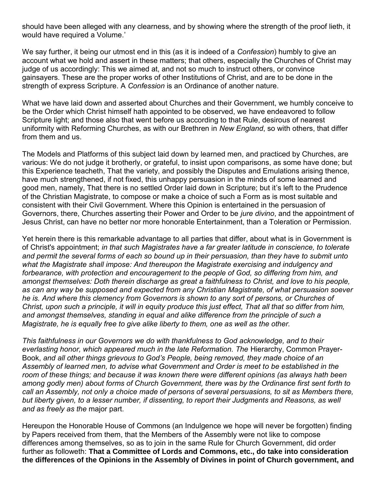should have been alleged with any clearness, and by showing where the strength of the proof lieth, it would have required a Volume.'

We say further, it being our utmost end in this (as it is indeed of a *Confession*) humbly to give an account what we hold and assert in these matters; that others, especially the Churches of Christ may judge of us accordingly: This we aimed at, and not so much to instruct others, or convince gainsayers. These are the proper works of other Institutions of Christ, and are to be done in the strength of express Scripture. A *Confession* is an Ordinance of another nature.

What we have laid down and asserted about Churches and their Government, we humbly conceive to be the Order which Christ himself hath appointed to be observed, we have endeavored to follow Scripture light; and those also that went before us according to that Rule, desirous of nearest uniformity with Reforming Churches, as with our Brethren in *New England*, so with others, that differ from them and us.

The Models and Platforms of this subject laid down by learned men, and practiced by Churches, are various: We do not judge it brotherly, or grateful, to insist upon comparisons, as some have done; but this Experience teacheth, That the variety, and possibly the Disputes and Emulations arising thence, have much strengthened, if not fixed, this unhappy persuasion in the minds of some learned and good men, namely, That there is no settled Order laid down in Scripture; but it's left to the Prudence of the Christian Magistrate, to compose or make a choice of such a Form as is most suitable and consistent with their Civil Government. Where this Opinion is entertained in the persuasion of Governors, there, Churches asserting their Power and Order to be *jure divino*, and the appointment of Jesus Christ, can have no better nor more honorable Entertainment, than a Toleration or Permission.

Yet herein there is this remarkable advantage to all parties that differ, about what is in Government is of Christ's appointment; *in that such Magistrates have a far greater latitude in conscience, to tolerate and permit the several forms of each so bound up in their persuasion, than they have to submit unto what the Magistrate shall impose: And thereupon the Magistrate exercising and indulgency and forbearance, with protection and encouragement to the people of God, so differing from him, and amongst themselves: Doth therein discharge as great a faithfulness to Christ, and love to his people, as can any way be supposed and expected from any Christian Magistrate, of what persuasion soever he is. And where this clemency from Governors is shown to any sort of persons, or Churches of Christ, upon such a principle, it will in equity produce this just effect, That all that so differ from him, and amongst themselves, standing in equal and alike difference from the principle of such a Magistrate, he is equally free to give alike liberty to them, one as well as the other.*

*This faithfulness in our Governors we do with thankfulness to God acknowledge, and to their everlasting honor, which appeared much in the late Reformation. The* Hierarchy, Common Prayer-Book, *and all other things grievous to God's People, being removed, they made choice of an Assembly of learned men, to advise what Government and Order is meet to be established in the room of these things; and because it was known there were different opinions (as always hath been among godly men) about forms of Church Government, there was by the Ordinance first sent forth to call an Assembly, not only a choice made of persons of several persuasions, to sit as Members there, but liberty given, to a lesser number, if dissenting, to report their Judgments and Reasons, as well and as freely as the* major part.

Hereupon the Honorable House of Commons (an Indulgence we hope will never be forgotten) finding by Papers received from them, that the Members of the Assembly were not like to compose differences among themselves, so as to join in the same Rule for Church Government, did order further as followeth: **That a Committee of Lords and Commons, etc., do take into consideration the differences of the Opinions in the Assembly of Divines in point of Church government, and**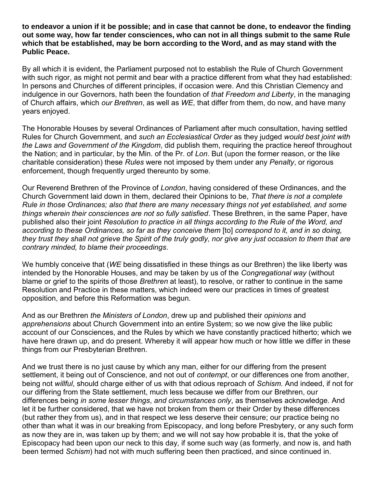**to endeavor a union if it be possible; and in case that cannot be done, to endeavor the finding out some way, how far tender consciences, who can not in all things submit to the same Rule which that be established, may be born according to the Word, and as may stand with the Public Peace.**

By all which it is evident, the Parliament purposed not to establish the Rule of Church Government with such rigor, as might not permit and bear with a practice different from what they had established: In persons and Churches of different principles, if occasion were. And this Christian Clemency and indulgence in our Governors, hath been the foundation of *that Freedom and Liberty*, in the managing of Church affairs, which *our Brethren*, as well as *WE*, that differ from them, do now, and have many years enjoyed.

The Honorable Houses by several Ordinances of Parliament after much consultation, having settled Rules for Church Government, and *such an Ecclesiastical Order* as they judged *would best joint with the Laws and Government of the Kingdom*, did publish them, requiring the practice hereof throughout the Nation; and in particular, by the Min. of the Pr. of *Lon*. But (upon the former reason, or the like charitable consideration) these *Rules* were not imposed by them under any *Penalty*, or rigorous enforcement, though frequently urged thereunto by some.

Our Reverend Brethren of the Province of *London*, having considered of these Ordinances, and the Church Government laid down in them, declared their Opinions to be, *That there is not a complete Rule in those Ordinances; also that there are many necessary things not yet established, and some things wherein their consciences are not so fully satisfied*. These Brethren, in the same Paper, have published also their joint *Resolution to practice in all things according to the Rule of the Word, and according to these Ordinances, so far as they conceive them* [to] *correspond to it, and in so doing, they trust they shall not grieve the Spirit of the truly godly, nor give any just occasion to them that are contrary minded, to blame their proceedings*.

We humbly conceive that (*WE* being dissatisfied in these things as our Brethren) the like liberty was intended by the Honorable Houses, and may be taken by us of the *Congregational way* (without blame or grief to the spirits of those *Brethren* at least), to resolve, or rather to continue in the same Resolution and Practice in these matters, which indeed were our practices in times of greatest opposition, and before this Reformation was begun.

And as our Brethren *the Ministers of London*, drew up and published their *opinions* and *apprehensions* about Church Government into an entire System; so we now give the like public account of our Consciences, and the Rules by which we have constantly practiced hitherto; which we have here drawn up, and do present. Whereby it will appear how much or how little we differ in these things from our Presbyterian Brethren.

And we trust there is no just cause by which any man, either for our differing from the present settlement, it being out of Conscience, and not out of *contempt*, or our differences one from another, being not *willful*, should charge either of us with that odious reproach of *Schism*. And indeed, if not for our differing from the State settlement, much less because we differ from our Brethren, our differences being *in some lesser things*, *and circumstances only*, as themselves acknowledge. And let it be further considered, that we have not broken from them or their Order by these differences (but rather they from us), and in that respect we less deserve their censure; our practice being no other than what it was in our breaking from Episcopacy, and long before Presbytery, or any such form as now they are in, was taken up by them; and we will not say how probable it is, that the yoke of Episcopacy had been upon our neck to this day, if some such way (as formerly, and now is, and hath been termed *Schism*) had not with much suffering been then practiced, and since continued in.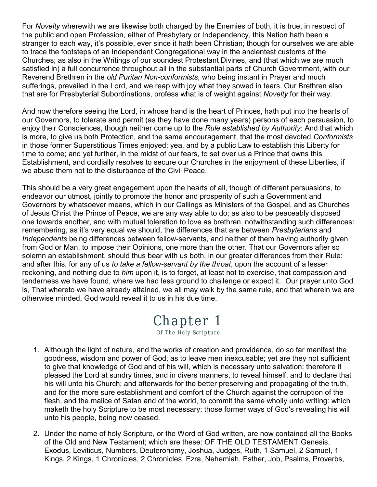For *Novelty* wherewith we are likewise both charged by the Enemies of both, it is true, in respect of the public and open Profession, either of Presbytery or Independency, this Nation hath been a stranger to each way, it's possible, ever since it hath been Christian; though for ourselves we are able to trace the footsteps of an Independent Congregational way in the ancientest customs of the Churches; as also in the Writings of our soundest Protestant Divines, and (that which we are much satisfied in) a full concurrence throughout all in the substantial parts of Church Government, with our Reverend Brethren in the *old Puritan Non-conformists*, who being instant in Prayer and much sufferings, prevailed in the Lord, and we reap with joy what they sowed in tears. Our Brethren also that are for Presbyterial Subordinations, profess what is of weight against *Novelty* for their way.

And now therefore seeing the Lord, in whose hand is the heart of Princes, hath put into the hearts of our Governors, to tolerate and permit (as they have done many years) persons of each persuasion, to enjoy their Consciences, though neither come up to the *Rule established by Authority*: And that which is more, to give us both Protection, and the same encouragement, that the most devoted *Conformists* in those former Superstitious Times enjoyed; yea, and by a public Law to establish this Liberty for time to come; and yet further, in the midst of our fears, to set over us a Prince that owns this Establishment, and cordially resolves to secure our Churches in the enjoyment of these Liberties, if we abuse them not to the disturbance of the Civil Peace.

This should be a very great engagement upon the hearts of all, though of different persuasions, to endeavor our utmost, jointly to promote the honor and prosperity of such a Government and Governors by whatsoever means, which in our Callings as Ministers of the Gospel, and as Churches of Jesus Christ the Prince of Peace, we are any way able to do; as also to be peaceably disposed one towards another, and with mutual toleration to love as brethren, notwithstanding such differences: remembering, as it's very equal we should, the differences that are between *Presbyterians* and *Independents* being differences between fellow-servants, and neither of them having authority given from God or Man, to impose their Opinions, one more than the other. That our Governors after so solemn an establishment, should thus bear with us both, in our greater differences from their Rule: and after this, for any of us *to take a fellow-servant by the throat*, upon the account of a lesser reckoning, and nothing due to *him* upon it, is to forget, at least not to exercise, that compassion and tenderness we have found, where we had less ground to challenge or expect it. Our prayer unto God is, That whereto we have already attained, we all may walk by the same rule, and that wherein we are otherwise minded, God would reveal it to us in his due time.

### Chapter 1 Of The Holy Scripture

- 1. Although the light of nature, and the works of creation and providence, do so far manifest the goodness, wisdom and power of God, as to leave men inexcusable; yet are they not sufficient to give that knowledge of God and of his will, which is necessary unto salvation: therefore it pleased the Lord at sundry times, and in divers manners, to reveal himself, and to declare that his will unto his Church; and afterwards for the better preserving and propagating of the truth, and for the more sure establishment and comfort of the Church against the corruption of the flesh, and the malice of Satan and of the world, to commit the same wholly unto writing: which maketh the holy Scripture to be most necessary; those former ways of God's revealing his will unto his people, being now ceased.
- 2. Under the name of holy Scripture, or the Word of God written, are now contained all the Books of the Old and New Testament; which are these: OF THE OLD TESTAMENT Genesis, Exodus, Leviticus, Numbers, Deuteronomy, Joshua, Judges, Ruth, 1 Samuel, 2 Samuel, 1 Kings, 2 Kings, 1 Chronicles, 2 Chronicles, Ezra, Nehemiah, Esther, Job, Psalms, Proverbs,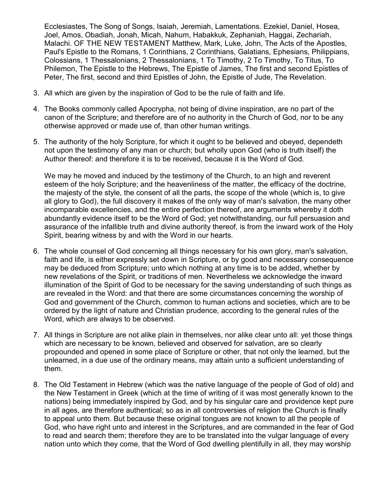Ecclesiastes, The Song of Songs, Isaiah, Jeremiah, Lamentations. Ezekiel, Daniel, Hosea, Joel, Amos, Obadiah, Jonah, Micah, Nahum, Habakkuk, Zephaniah, Haggai, Zechariah, Malachi. OF THE NEW TESTAMENT Matthew, Mark, Luke, John, The Acts of the Apostles, Paul's Epistle to the Romans, 1 Corinthians, 2 Corinthians, Galatians, Ephesians, Philippians, Colossians, 1 Thessalonians, 2 Thessalonians, 1 To Timothy, 2 To Timothy, To Titus, To Philemon, The Epistle to the Hebrews, The Epistle of James, The first and second Epistles of Peter, The first, second and third Epistles of John, the Epistle of Jude, The Revelation.

- 3. All which are given by the inspiration of God to be the rule of faith and life.
- 4. The Books commonly called Apocrypha, not being of divine inspiration, are no part of the canon of the Scripture; and therefore are of no authority in the Church of God, nor to be any otherwise approved or made use of, than other human writings.
- 5. The authority of the holy Scripture, for which it ought to be believed and obeyed, dependeth not upon the testimony of any man or church; but wholly upon God (who is truth itself) the Author thereof: and therefore it is to be received, because it is the Word of God.

We may he moved and induced by the testimony of the Church, to an high and reverent esteem of the holy Scripture; and the heavenliness of the matter, the efficacy of the doctrine, the majesty of the style, the consent of all the parts, the scope of the whole (which is, to give all glory to God), the full discovery it makes of the only way of man's salvation, the many other incomparable excellencies, and the entire perfection thereof, are arguments whereby it doth abundantly evidence itself to be the Word of God; yet notwithstanding, our full persuasion and assurance of the infallible truth and divine authority thereof, is from the inward work of the Holy Spirit, bearing witness by and with the Word in our hearts.

- 6. The whole counsel of God concerning all things necessary for his own glory, man's salvation, faith and life, is either expressly set down in Scripture, or by good and necessary consequence may be deduced from Scripture; unto which nothing at any time is to be added, whether by new revelations of the Spirit, or traditions of men. Nevertheless we acknowledge the inward illumination of the Spirit of God to be necessary for the saving understanding of such things as are revealed in the Word: and that there are some circumstances concerning the worship of God and government of the Church, common to human actions and societies, which are to be ordered by the light of nature and Christian prudence, according to the general rules of the Word, which are always to be observed.
- 7. All things in Scripture are not alike plain in themselves, nor alike clear unto all: yet those things which are necessary to be known, believed and observed for salvation, are so clearly propounded and opened in some place of Scripture or other, that not only the learned, but the unlearned, in a due use of the ordinary means, may attain unto a sufficient understanding of them.
- 8. The Old Testament in Hebrew (which was the native language of the people of God of old) and the New Testament in Greek (which at the time of writing of it was most generally known to the nations) being immediately inspired by God, and by his singular care and providence kept pure in all ages, are therefore authentical; so as in all controversies of religion the Church is finally to appeal unto them. But because these original tongues are not known to all the people of God, who have right unto and interest in the Scriptures, and are commanded in the fear of God to read and search them; therefore they are to be translated into the vulgar language of every nation unto which they come, that the Word of God dwelling plentifully in all, they may worship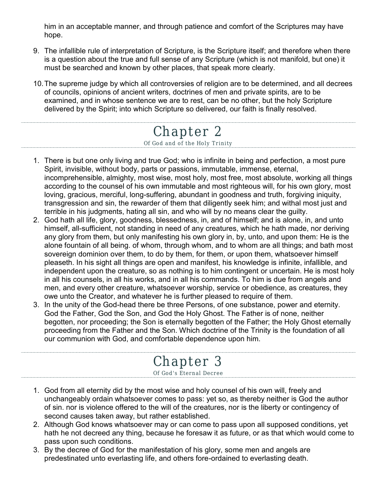him in an acceptable manner, and through patience and comfort of the Scriptures may have hope.

- 9. The infallible rule of interpretation of Scripture, is the Scripture itself; and therefore when there is a question about the true and full sense of any Scripture (which is not manifold, but one) it must be searched and known by other places, that speak more clearly.
- 10. The supreme judge by which all controversies of religion are to be determined, and all decrees of councils, opinions of ancient writers, doctrines of men and private spirits, are to be examined, and in whose sentence we are to rest, can be no other, but the holy Scripture delivered by the Spirit; into which Scripture so delivered, our faith is finally resolved.

Chapter 2

#### Of God and of the Holy Trinity 1. There is but one only living and true God; who is infinite in being and perfection, a most pure Spirit, invisible, without body, parts or passions, immutable, immense, eternal, incomprehensible, almighty, most wise, most holy, most free, most absolute, working all things according to the counsel of his own immutable and most righteous will, for his own glory, most loving, gracious, merciful, long-suffering, abundant in goodness and truth, forgiving iniquity, transgression and sin, the rewarder of them that diligently seek him; and withal most just and terrible in his judgments, hating all sin, and who will by no means clear the guilty.

- 2. God hath all life, glory, goodness, blessedness, in, and of himself; and is alone, in, and unto himself, all-sufficient, not standing in need of any creatures, which he hath made, nor deriving any glory from them, but only manifesting his own glory in, by, unto, and upon them: He is the alone fountain of all being. of whom, through whom, and to whom are all things; and bath most sovereign dominion over them, to do by them, for them, or upon them, whatsoever himself pleaseth. In his sight all things are open and manifest, his knowledge is infinite, infallible, and independent upon the creature, so as nothing is to him contingent or uncertain. He is most holy in all his counsels, in all his works, and in all his commands. To him is due from angels and men, and every other creature, whatsoever worship, service or obedience, as creatures, they owe unto the Creator, and whatever he is further pleased to require of them.
- 3. In the unity of the God-head there be three Persons, of one substance, power and eternity. God the Father, God the Son, and God the Holy Ghost. The Father is of none, neither begotten, nor proceeding; the Son is eternally begotten of the Father; the Holy Ghost eternally proceeding from the Father and the Son. Which doctrine of the Trinity is the foundation of all our communion with God, and comfortable dependence upon him.

### Chapter 3 Of God's Eternal Decree

- 1. God from all eternity did by the most wise and holy counsel of his own will, freely and unchangeably ordain whatsoever comes to pass: yet so, as thereby neither is God the author of sin. nor is violence offered to the will of the creatures, nor is the liberty or contingency of second causes taken away, but rather established.
- 2. Although God knows whatsoever may or can come to pass upon all supposed conditions, yet hath he not decreed any thing, because he foresaw it as future, or as that which would come to pass upon such conditions.
- 3. By the decree of God for the manifestation of his glory, some men and angels are predestinated unto everlasting life, and others fore-ordained to everlasting death.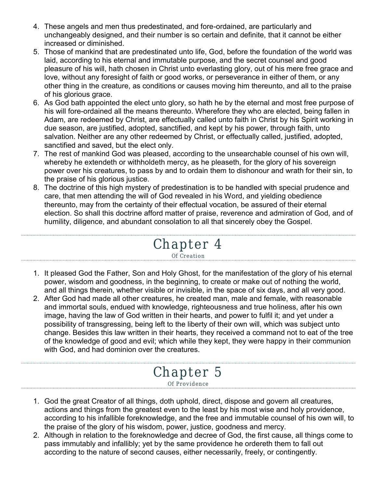- 4. These angels and men thus predestinated, and fore-ordained, are particularly and unchangeably designed, and their number is so certain and definite, that it cannot be either increased or diminished.
- 5. Those of mankind that are predestinated unto life, God, before the foundation of the world was laid, according to his eternal and immutable purpose, and the secret counsel and good pleasure of his will, hath chosen in Christ unto everlasting glory, out of his mere free grace and love, without any foresight of faith or good works, or perseverance in either of them, or any other thing in the creature, as conditions or causes moving him thereunto, and all to the praise of his glorious grace.
- 6. As God bath appointed the elect unto glory, so hath he by the eternal and most free purpose of his will fore-ordained all the means thereunto. Wherefore they who are elected, being fallen in Adam, are redeemed by Christ, are effectually called unto faith in Christ by his Spirit working in due season, are justified, adopted, sanctified, and kept by his power, through faith, unto salvation. Neither are any other redeemed by Christ, or effectually called, justified, adopted, sanctified and saved, but the elect only.
- 7. The rest of mankind God was pleased, according to the unsearchable counsel of his own will, whereby he extendeth or withholdeth mercy, as he pleaseth, for the glory of his sovereign power over his creatures, to pass by and to ordain them to dishonour and wrath for their sin, to the praise of his glorious justice.
- 8. The doctrine of this high mystery of predestination is to be handled with special prudence and care, that men attending the will of God revealed in his Word, and yielding obedience thereunto, may from the certainty of their effectual vocation, be assured of their eternal election. So shall this doctrine afford matter of praise, reverence and admiration of God, and of humility, diligence, and abundant consolation to all that sincerely obey the Gospel.

### Chapter 4 Of Creation

- 1. It pleased God the Father, Son and Holy Ghost, for the manifestation of the glory of his eternal power, wisdom and goodness, in the beginning, to create or make out of nothing the world, and all things therein, whether visible or invisible, in the space of six days, and all very good.
- 2. After God had made all other creatures, he created man, male and female, with reasonable and immortal souls, endued with knowledge, righteousness and true holiness, after his own image, having the law of God written in their hearts, and power to fulfil it; and yet under a possibility of transgressing, being left to the liberty of their own will, which was subject unto change. Besides this law written in their hearts, they received a command not to eat of the tree of the knowledge of good and evil; which while they kept, they were happy in their communion with God, and had dominion over the creatures.

### Chapter 5 Of Providence

- 1. God the great Creator of all things, doth uphold, direct, dispose and govern all creatures, actions and things from the greatest even to the least by his most wise and holy providence, according to his infallible foreknowledge, and the free and immutable counsel of his own will, to the praise of the glory of his wisdom, power, justice, goodness and mercy.
- 2. Although in relation to the foreknowledge and decree of God, the first cause, all things come to pass immutably and infallibly; yet by the same providence he ordereth them to fall out according to the nature of second causes, either necessarily, freely, or contingently.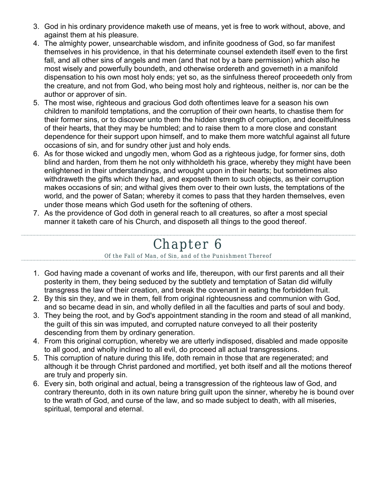- 3. God in his ordinary providence maketh use of means, yet is free to work without, above, and against them at his pleasure.
- 4. The almighty power, unsearchable wisdom, and infinite goodness of God, so far manifest themselves in his providence, in that his determinate counsel extendeth itself even to the first fall, and all other sins of angels and men (and that not by a bare permission) which also he most wisely and powerfully boundeth, and otherwise ordereth and governeth in a manifold dispensation to his own most holy ends; yet so, as the sinfulness thereof proceedeth only from the creature, and not from God, who being most holy and righteous, neither is, nor can be the author or approver of sin.
- 5. The most wise, righteous and gracious God doth oftentimes leave for a season his own children to manifold temptations, and the corruption of their own hearts, to chastise them for their former sins, or to discover unto them the hidden strength of corruption, and deceitfulness of their hearts, that they may be humbled; and to raise them to a more close and constant dependence for their support upon himself, and to make them more watchful against all future occasions of sin, and for sundry other just and holy ends.
- 6. As for those wicked and ungodly men, whom God as a righteous judge, for former sins, doth blind and harden, from them he not only withholdeth his grace, whereby they might have been enlightened in their understandings, and wrought upon in their hearts; but sometimes also withdraweth the gifts which they had, and exposeth them to such objects, as their corruption makes occasions of sin; and withal gives them over to their own lusts, the temptations of the world, and the power of Satan; whereby it comes to pass that they harden themselves, even under those means which God useth for the softening of others.
- 7. As the providence of God doth in general reach to all creatures, so after a most special manner it taketh care of his Church, and disposeth all things to the good thereof.

# Chapter 6

Of the Fall of Man, of Sin, and of the Punishment Thereof

- 1. God having made a covenant of works and life, thereupon, with our first parents and all their posterity in them, they being seduced by the subtlety and temptation of Satan did wilfully transgress the law of their creation, and break the covenant in eating the forbidden fruit.
- 2. By this sin they, and we in them, fell from original righteousness and communion with God, and so became dead in sin, and wholly defiled in all the faculties and parts of soul and body.
- 3. They being the root, and by God's appointment standing in the room and stead of all mankind, the guilt of this sin was imputed, and corrupted nature conveyed to all their posterity descending from them by ordinary generation.
- 4. From this original corruption, whereby we are utterly indisposed, disabled and made opposite to all good, and wholly inclined to all evil, do proceed all actual transgressions.
- 5. This corruption of nature during this life, doth remain in those that are regenerated; and although it be through Christ pardoned and mortified, yet both itself and all the motions thereof are truly and properly sin.
- 6. Every sin, both original and actual, being a transgression of the righteous law of God, and contrary thereunto, doth in its own nature bring guilt upon the sinner, whereby he is bound over to the wrath of God, and curse of the law, and so made subject to death, with all miseries, spiritual, temporal and eternal.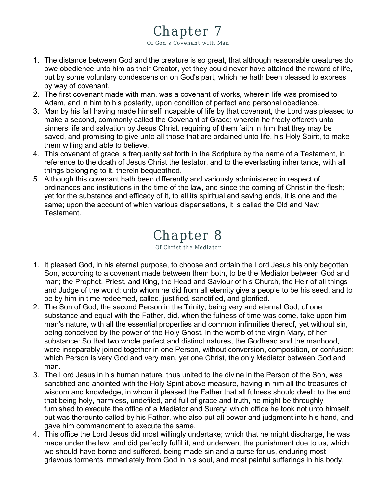Chapter 7 Of God's Covenant with Man

- 1. The distance between God and the creature is so great, that although reasonable creatures do owe obedience unto him as their Creator, yet they could never have attained the reward of life, but by some voluntary condescension on God's part, which he hath been pleased to express by way of covenant.
- 2. The first covenant made with man, was a covenant of works, wherein life was promised to Adam, and in him to his posterity, upon condition of perfect and personal obedience.
- 3. Man by his fall having made himself incapable of life by that covenant, the Lord was pleased to make a second, commonly called the Covenant of Grace; wherein he freely offereth unto sinners life and salvation by Jesus Christ, requiring of them faith in him that they may be saved, and promising to give unto all those that are ordained unto life, his Holy Spirit, to make them willing and able to believe.
- 4. This covenant of grace is frequently set forth in the Scripture by the name of a Testament, in reference to the dcath of Jesus Christ the testator, and to the everlasting inheritance, with all things belonging to it, therein bequeathed.
- 5. Although this covenant hath been differently and variously administered in respect of ordinances and institutions in the time of the law, and since the coming of Christ in the flesh; yet for the substance and efficacy of it, to all its spiritual and saving ends, it is one and the same; upon the account of which various dispensations, it is called the Old and New Testament.

### Chapter 8 Of Christ the Mediator

- 1. It pleased God, in his eternal purpose, to choose and ordain the Lord Jesus his only begotten Son, according to a covenant made between them both, to be the Mediator between God and man; the Prophet, Priest, and King, the Head and Saviour of his Church, the Heir of all things and Judge of the world; unto whom he did from all eternity give a people to be his seed, and to be by him in time redeemed, called, justified, sanctified, and glorified.
- 2. The Son of God, the second Person in the Trinity, being very and eternal God, of one substance and equal with the Father, did, when the fulness of time was come, take upon him man's nature, with all the essential properties and common infirmities thereof, yet without sin, being conceived by the power of the Holy Ghost, in the womb of the virgin Mary, of her substance: So that two whole perfect and distinct natures, the Godhead and the manhood, were inseparably joined together in one Person, without conversion, composition, or confusion; which Person is very God and very man, yet one Christ, the only Mediator between God and man.
- 3. The Lord Jesus in his human nature, thus united to the divine in the Person of the Son, was sanctified and anointed with the Holy Spirit above measure, having in him all the treasures of wisdom and knowledge, in whom it pleased the Father that all fulness should dwell; to the end that being holy, harmless, undefiled, and full of grace and truth, he might be throughly furnished to execute the office of a Mediator and Surety; which office he took not unto himself, but was thereunto called by his Father, who also put all power and judgment into his hand, and gave him commandment to execute the same.
- 4. This office the Lord Jesus did most willingly undertake; which that he might discharge, he was made under the law, and did perfectly fulfil it, and underwent the punishment due to us, which we should have borne and suffered, being made sin and a curse for us, enduring most grievous torments immediately from God in his soul, and most painful sufferings in his body,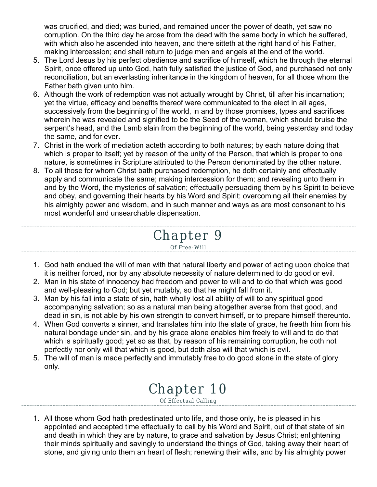was crucified, and died; was buried, and remained under the power of death, yet saw no corruption. On the third day he arose from the dead with the same body in which he suffered, with which also he ascended into heaven, and there sitteth at the right hand of his Father, making intercession; and shall return to judge men and angels at the end of the world.

- 5. The Lord Jesus by his perfect obedience and sacrifice of himself, which he through the eternal Spirit, once offered up unto God, hath fully satisfied the justice of God, and purchased not only reconciliation, but an everlasting inheritance in the kingdom of heaven, for all those whom the Father bath given unto him.
- 6. Although the work of redemption was not actually wrought by Christ, till after his incarnation; yet the virtue, efficacy and benefits thereof were communicated to the elect in all ages, successively from the beginning of the world, in and by those promises, types and sacrifices wherein he was revealed and signified to be the Seed of the woman, which should bruise the serpent's head, and the Lamb slain from the beginning of the world, being yesterday and today the same, and for ever.
- 7. Christ in the work of mediation acteth according to both natures; by each nature doing that which is proper to itself; yet by reason of the unity of the Person, that which is proper to one nature, is sometimes in Scripture attributed to the Person denominated by the other nature.
- 8. To all those for whom Christ bath purchased redemption, he doth certainly and effectually apply and communicate the same; making intercession for them; and revealing unto them in and by the Word, the mysteries of salvation; effectually persuading them by his Spirit to believe and obey, and governing their hearts by his Word and Spirit; overcoming all their enemies by his almighty power and wisdom, and in such manner and ways as are most consonant to his most wonderful and unsearchable dispensation.

### Chapter 9 Of Free-Will

- 1. God hath endued the will of man with that natural liberty and power of acting upon choice that it is neither forced, nor by any absolute necessity of nature determined to do good or evil.
- 2. Man in his state of innocency had freedom and power to will and to do that which was good and well-pleasing to God; but yet mutably, so that he might fall from it.
- 3. Man by his fall into a state of sin, hath wholly lost all ability of will to any spiritual good accompanying salvation; so as a natural man being altogether averse from that good, and dead in sin, is not able by his own strength to convert himself, or to prepare himself thereunto.
- 4. When God converts a sinner, and translates him into the state of grace, he freeth him from his natural bondage under sin, and by his grace alone enables him freely to will and to do that which is spiritually good; yet so as that, by reason of his remaining corruption, he doth not perfectly nor only will that which is good, but doth also will that which is evil.
- 5. The will of man is made perfectly and immutably free to do good alone in the state of glory only.

# Chapter 10

Of Effectual Calling

1. All those whom God hath predestinated unto life, and those only, he is pleased in his appointed and accepted time effectually to call by his Word and Spirit, out of that state of sin and death in which they are by nature, to grace and salvation by Jesus Christ; enlightening their minds spiritually and savingly to understand the things of God, taking away their heart of stone, and giving unto them an heart of flesh; renewing their wills, and by his almighty power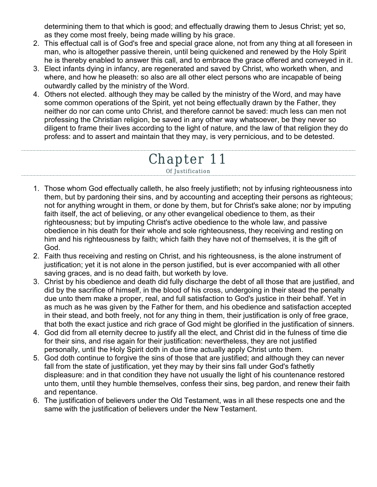determining them to that which is good; and effectually drawing them to Jesus Christ; yet so, as they come most freely, being made willing by his grace.

- 2. This effectual call is of God's free and special grace alone, not from any thing at all foreseen in man, who is altogether passive therein, until being quickened and renewed by the Holy Spirit he is thereby enabled to answer this call, and to embrace the grace offered and conveyed in it.
- 3. Elect infants dying in infancy, are regenerated and saved by Christ, who worketh when, and where, and how he pleaseth: so also are all other elect persons who are incapable of being outwardly called by the ministry of the Word.
- 4. Others not elected. although they may be called by the ministry of the Word, and may have some common operations of the Spirit, yet not being effectually drawn by the Father, they neither do nor can come unto Christ, and therefore cannot be saved: much less can men not professing the Christian religion, be saved in any other way whatsoever, be they never so diligent to frame their lives according to the light of nature, and the law of that religion they do profess: and to assert and maintain that they may, is very pernicious, and to be detested.

### Chapter 11 Of Justification

- 1. Those whom God effectually calleth, he also freely justifieth; not by infusing righteousness into them, but by pardoning their sins, and by accounting and accepting their persons as righteous; not for anything wrought in them, or done by them, but for Christ's sake alone; nor by imputing faith itself, the act of believing, or any other evangelical obedience to them, as their righteousness; but by imputing Christ's active obedience to the whole law, and passive obedience in his death for their whole and sole righteousness, they receiving and resting on him and his righteousness by faith; which faith they have not of themselves, it is the gift of God.
- 2. Faith thus receiving and resting on Christ, and his righteousness, is the alone instrument of justification; yet it is not alone in the person justified, but is ever accompanied with all other saving graces, and is no dead faith, but worketh by love.
- 3. Christ by his obedience and death did fully discharge the debt of all those that are justified, and did by the sacrifice of himself, in the blood of his cross, undergoing in their stead the penalty due unto them make a proper, real, and full satisfaction to God's justice in their behalf. Yet in as much as he was given by the Father for them, and his obedience and satisfaction accepted in their stead, and both freely, not for any thing in them, their justification is only of free grace, that both the exact justice and rich grace of God might be glorified in the justification of sinners.
- 4. God did from all eternity decree to justify all the elect, and Christ did in the fulness of time die for their sins, and rise again for their justification: nevertheless, they are not justified personally, until the Holy Spirit doth in due time actually apply Christ unto them.
- 5. God doth continue to forgive the sins of those that are justified; and although they can never fall from the state of justification, yet they may by their sins fall under God's fathetly displeasure: and in that condition they have not usually the light of his countenance restored unto them, until they humble themselves, confess their sins, beg pardon, and renew their faith and repentance.
- 6. The justification of believers under the Old Testament, was in all these respects one and the same with the justification of believers under the New Testament.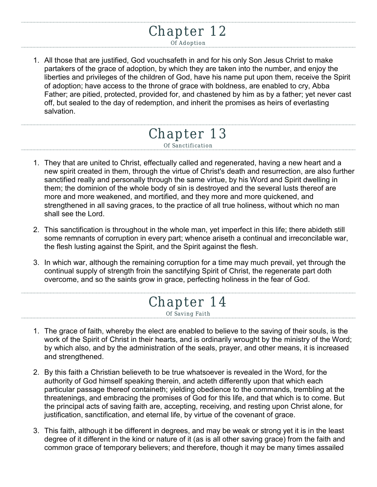# Chapter 12

Of Adoption

1. All those that are justified, God vouchsafeth in and for his only Son Jesus Christ to make partakers of the grace of adoption, by which they are taken into the number, and enjoy the liberties and privileges of the children of God, have his name put upon them, receive the Spirit of adoption; have access to the throne of grace with boldness, are enabled to cry, Abba Father; are pitied, protected, provided for, and chastened by him as by a father; yet never cast off, but sealed to the day of redemption, and inherit the promises as heirs of everlasting salvation.

#### Chapter 13 Of Sanctification

- 1. They that are united to Christ, effectually called and regenerated, having a new heart and a new spirit created in them, through the virtue of Christ's death and resurrection, are also further sanctified really and personally through the same virtue, by his Word and Spirit dwelling in them; the dominion of the whole body of sin is destroyed and the several lusts thereof are more and more weakened, and mortified, and they more and more quickened, and strengthened in all saving graces, to the practice of all true holiness, without which no man shall see the Lord.
- 2. This sanctification is throughout in the whole man, yet imperfect in this life; there abideth still some remnants of corruption in every part; whence ariseth a continual and irreconcilable war, the flesh lusting against the Spirit, and the Spirit against the flesh.
- 3. In which war, although the remaining corruption for a time may much prevail, yet through the continual supply of strength froin the sanctifying Spirit of Christ, the regenerate part doth overcome, and so the saints grow in grace, perfecting holiness in the fear of God.

### Chapter 14 Of Saving Faith

- 1. The grace of faith, whereby the elect are enabled to believe to the saving of their souls, is the work of the Spirit of Christ in their hearts, and is ordinarily wrought by the ministry of the Word; by which also, and by the administration of the seals, prayer, and other means, it is increased and strengthened.
- 2. By this faith a Christian believeth to be true whatsoever is revealed in the Word, for the authority of God himself speaking therein, and acteth differently upon that which each particular passage thereof containeth; yielding obedience to the commands, trembling at the threatenings, and embracing the promises of God for this life, and that which is to come. But the principal acts of saving faith are, accepting, receiving, and resting upon Christ alone, for justification, sanctification, and eternal life, by virtue of the covenant of grace.
- 3. This faith, although it be different in degrees, and may be weak or strong yet it is in the least degree of it different in the kind or nature of it (as is all other saving grace) from the faith and common grace of temporary believers; and therefore, though it may be many times assailed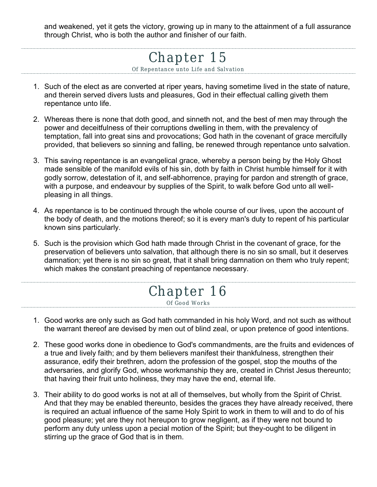and weakened, yet it gets the victory, growing up in many to the attainment of a full assurance through Christ, who is both the author and finisher of our faith.

# Chapter 15

Of Repentance unto Life and Salvation

- 1. Such of the elect as are converted at riper years, having sometime lived in the state of nature, and therein served divers lusts and pleasures, God in their effectual calling giveth them repentance unto life.
- 2. Whereas there is none that doth good, and sinneth not, and the best of men may through the power and deceitfulness of their corruptions dwelling in them, with the prevalency of temptation, fall into great sins and provocations; God hath in the covenant of grace mercifully provided, that believers so sinning and falling, be renewed through repentance unto salvation.
- 3. This saving repentance is an evangelical grace, whereby a person being by the Holy Ghost made sensible of the manifold evils of his sin, doth by faith in Christ humble himself for it with godly sorrow, detestation of it, and self-abhorrence, praying for pardon and strength of grace, with a purpose, and endeavour by supplies of the Spirit, to walk before God unto all wellpleasing in all things.
- 4. As repentance is to be continued through the whole course of our lives, upon the account of the body of death, and the motions thereof; so it is every man's duty to repent of his particular known sins particularly.
- 5. Such is the provision which God hath made through Christ in the covenant of grace, for the preservation of believers unto salvation, that although there is no sin so small, but it deserves damnation; yet there is no sin so great, that it shall bring damnation on them who truly repent; which makes the constant preaching of repentance necessary.

## Chapter 16 Of Good Works

- 1. Good works are only such as God hath commanded in his holy Word, and not such as without the warrant thereof are devised by men out of blind zeal, or upon pretence of good intentions.
- 2. These good works done in obedience to God's commandments, are the fruits and evidences of a true and lively faith; and by them believers manifest their thankfulness, strengthen their assurance, edify their brethren, adorn the profession of the gospel, stop the mouths of the adversaries, and glorify God, whose workmanship they are, created in Christ Jesus thereunto; that having their fruit unto holiness, they may have the end, eternal life.
- 3. Their ability to do good works is not at all of themselves, but wholly from the Spirit of Christ. And that they may be enabled thereunto, besides the graces they have already received, there is required an actual influence of the same Holy Spirit to work in them to will and to do of his good pleasure; yet are they not hereupon to grow negligent, as if they were not bound to perform any duty unless upon a pecial motion of the Spirit; but they-ought to be diligent in stirring up the grace of God that is in them.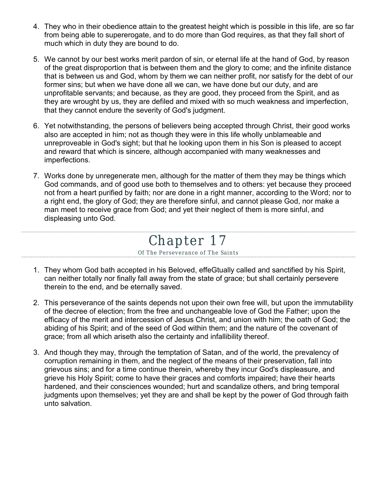- 4. They who in their obedience attain to the greatest height which is possible in this life, are so far from being able to supererogate, and to do more than God requires, as that they fall short of much which in duty they are bound to do.
- 5. We cannot by our best works merit pardon of sin, or eternal life at the hand of God, by reason of the great disproportion that is between them and the glory to come; and the infinite distance that is between us and God, whom by them we can neither profit, nor satisfy for the debt of our former sins; but when we have done all we can, we have done but our duty, and are unprofitable servants; and because, as they are good, they proceed from the Spirit, and as they are wrought by us, they are defiled and mixed with so much weakness and imperfection, that they cannot endure the severity of God's judgment.
- 6. Yet notwithstanding, the persons of believers being accepted through Christ, their good works also are accepted in him; not as though they were in this life wholly unblameable and unreproveable in God's sight; but that he looking upon them in his Son is pleased to accept and reward that which is sincere, although accompanied with many weaknesses and imperfections.
- 7. Works done by unregenerate men, although for the matter of them they may be things which God commands, and of good use both to themselves and to others: yet because they proceed not from a heart purified by faith; nor are done in a right manner, according to the Word; nor to a right end, the glory of God; they are therefore sinful, and cannot please God, nor make a man meet to receive grace from God; and yet their neglect of them is more sinful, and displeasing unto God.

# Chapter 17

Of The Perseverance of The Saints

- 1. They whom God bath accepted in his Beloved, effeGtually called and sanctified by his Spirit, can neither totally nor finally fall away from the state of grace; but shall certainly persevere therein to the end, and be eternally saved.
- 2. This perseverance of the saints depends not upon their own free will, but upon the immutability of the decree of election; from the free and unchangeable love of God the Father; upon the efficacy of the merit and intercession of Jesus Christ, and union with him; the oath of God; the abiding of his Spirit; and of the seed of God within them; and the nature of the covenant of grace; from all which ariseth also the certainty and infallibility thereof.
- 3. And though they may, through the temptation of Satan, and of the world, the prevalency of corruption remaining in them, and the neglect of the means of their preservation, fall into grievous sins; and for a time continue therein, whereby they incur God's displeasure, and grieve his Holy Spirit; come to have their graces and comforts impaired; have their hearts hardened, and their consciences wounded; hurt and scandalize others, and bring temporal judgments upon themselves; yet they are and shall be kept by the power of God through faith unto salvation.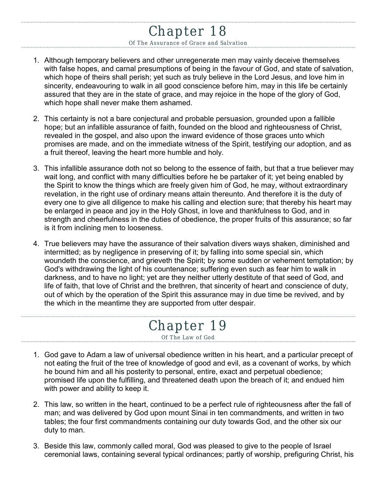#### Chapter 18 Of The Assurance of Grace and Salvation

- 1. Although temporary believers and other unregenerate men may vainly deceive themselves with false hopes, and carnal presumptions of being in the favour of God, and state of salvation, which hope of theirs shall perish; yet such as truly believe in the Lord Jesus, and love him in sincerity, endeavouring to walk in all good conscience before him, may in this life be certainly assured that they are in the state of grace, and may rejoice in the hope of the glory of God, which hope shall never make them ashamed.
- 2. This certainty is not a bare conjectural and probable persuasion, grounded upon a fallible hope; but an infallible assurance of faith, founded on the blood and righteousness of Christ, revealed in the gospel, and also upon the inward evidence of those graces unto which promises are made, and on the immediate witness of the Spirit, testifying our adoption, and as a fruit thereof, leaving the heart more humble and holy.
- 3. This infallible assurance doth not so belong to the essence of faith, but that a true believer may wait long, and conflict with many difficulties before he be partaker of it; yet being enabled by the Spirit to know the things which are freely given him of God, he may, without extraordinary revelation, in the right use of ordinary means attain thereunto. And therefore it is the duty of every one to give all diligence to make his calling and election sure; that thereby his heart may be enlarged in peace and joy in the Holy Ghost, in love and thankfulness to God, and in strength and cheerfulness in the duties of obedience, the proper fruits of this assurance; so far is it from inclining men to looseness.
- 4. True believers may have the assurance of their salvation divers ways shaken, diminished and intermitted; as by negligence in preserving of it; by falling into some special sin, which woundeth the conscience, and grieveth the Spirit; by some sudden or vehement temptation; by God's withdrawing the light of his countenance; suffering even such as fear him to walk in darkness, and to have no light; yet are they neither utterly destitute of that seed of God, and life of faith, that love of Christ and the brethren, that sincerity of heart and conscience of duty, out of which by the operation of the Spirit this assurance may in due time be revived, and by the which in the meantime they are supported from utter despair.

### Chapter 19 Of The Law of God

- 1. God gave to Adam a law of universal obedience written in his heart, and a particular precept of not eating the fruit of the tree of knowledge of good and evil, as a covenant of works, by which he bound him and all his posterity to personal, entire, exact and perpetual obedience; promised life upon the fulfilling, and threatened death upon the breach of it; and endued him with power and ability to keep it.
- 2. This law, so written in the heart, continued to be a perfect rule of righteousness after the fall of man; and was delivered by God upon mount Sinai in ten commandments, and written in two tables; the four first commandments containing our duty towards God, and the other six our duty to man.
- 3. Beside this law, commonly called moral, God was pleased to give to the people of Israel ceremonial laws, containing several typical ordinances; partly of worship, prefiguring Christ, his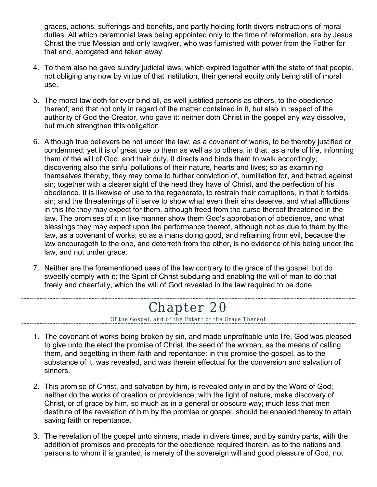graces, actions, sufferings and benefits, and partly holding forth divers instructions of moral duties. All which ceremonial laws being appointed only to the time of reformation, are by Jesus Christ the true Messiah and only lawgiver, who was furnished with power from the Father for that end, abrogated and taken away.

- 4. To them also he gave sundry judicial laws, which expired together with the state of that people, not obliging any now by virtue of that institution, their general equity only being still of moral use.
- 5. The moral law doth for ever bind all, as well justified persons as others, to the obedience thereof; and that not only in regard of the matter contained in it, but also in respect of the authority of God the Creator, who gave it: neither doth Christ in the gospel any way dissolve, but much strengthen this obligation.
- 6. Although true believers be not under the law, as a covenant of works, to be thereby justified or condemned; yet it is of great use to them as well as to others, in that, as a rule of life, informing them of the will of God, and their duty, it directs and binds them to walk accordingly; discovering also the sinful pollutions of their nature, hearts and lives; so as examining themselves thereby, they may come to further conviction of, humiliation for, and hatred against sin; together with a clearer sight of the need they have of Christ, and the perfection of his obedience. It is likewise of use to the regenerate, to restrain their corruptions, in that it forbids sin; and the threatenings of it serve to show what even their sins deserve, and what afflictions in this life they may expect for them, although freed from the curse thereof threatened in the law. The promises of it in like manner show them God's approbation of obedience, and what blessings they may expect upon the performance thereof, although not as due to them by the law, as a covenant of works; so as a mans doing good, and refraining from evil, because the law encourageth to the one, and deterreth from the other, is no evidence of his being under the law, and not under grace.
- 7. Neither are the forementioned uses of the law contrary to the grace of the gospel, but do sweetly comply with it; the Spirit of Christ subduing and enabling the will of man to do that freely and cheerfully, which the will of God revealed in the law required to be done.

# Chapter 20

Of the Gospel, and of the Extent of the Grace Thereof

- 1. The covenant of works being broken by sin, and made unprofitable unto life, God was pleased to give unto the elect the promise of Christ, the seed of the woman, as the means of calling them, and begetting in them faith and repentance: in this promise the gospel, as to the substance of it, was revealed, and was therein effectual for the conversion and salvation of sinners.
- 2. This promise of Christ, and salvation by him, is revealed only in and by the Word of God; neither do the works of creation or providence, with the light of nature, make discovery of Christ, or of grace by him, so much as in a general or obscure way; much less that men destitute of the revelation of him by the promise or gospel, should be enabled thereby to attain saving faith or repentance.
- 3. The revelation of the gospel unto sinners, made in divers times, and by sundry parts, with the addition of promises and precepts for the obedience required therein, as to the nations and persons to whom it is granted, is merely of the sovereign will and good pleasure of God, not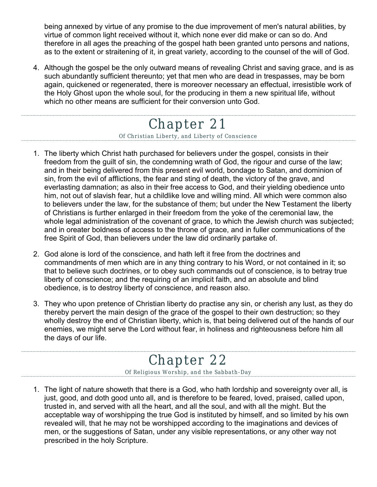being annexed by virtue of any promise to the due improvement of men's natural abilities, by virtue of common light received without it, which none ever did make or can so do. And therefore in all ages the preaching of the gospel hath been granted unto persons and nations, as to the extent or straitening of it, in great variety, according to the counsel of the will of God.

4. Although the gospel be the only outward means of revealing Christ and saving grace, and is as such abundantly sufficient thereunto; yet that men who are dead in trespasses, may be born again, quickened or regenerated, there is moreover necessary an effectual, irresistible work of the Holy Ghost upon the whole soul, for the producing in them a new spiritual life, without which no other means are sufficient for their conversion unto God.

# Chapter 21

Of Christian Liberty, and Liberty of Conscience

- 1. The liberty which Christ hath purchased for believers under the gospel, consists in their freedom from the guilt of sin, the condemning wrath of God, the rigour and curse of the law; and in their being delivered from this present evil world, bondage to Satan, and dominion of sin, from the evil of afflictions, the fear and sting of death, the victory of the grave, and everlasting damnation; as also in their free access to God, and their yielding obedience unto him, not out of slavish fear, hut a childlike love and willing mind. All which were common also to believers under the law, for the substance of them; but under the New Testament the liberty of Christians is further enlarged in their freedom from the yoke of the ceremonial law, the whole legal administration of the covenant of grace, to which the Jewish church was subjected; and in oreater boldness of access to the throne of grace, and in fuller communications of the free Spirit of God, than believers under the law did ordinarily partake of.
- 2. God alone is lord of the conscience, and hath left it free from the doctrines and commandments of men which are in any thing contrary to his Word, or not contained in it; so that to believe such doctrines, or to obey such commands out of conscience, is to betray true liberty of conscience; and the requiring of an implicit faith, and an absolute and blind obedience, is to destroy liberty of conscience, and reason also.
- 3. They who upon pretence of Christian liberty do practise any sin, or cherish any lust, as they do thereby pervert the main design of the grace of the gospel to their own destruction; so they wholly destroy the end of Christian liberty, which is, that being delivered out of the hands of our enemies, we might serve the Lord without fear, in holiness and righteousness before him all the days of our life.

### Chapter 22 Of Religious Worship, and the Sabbath-Day

1. The light of nature showeth that there is a God, who hath lordship and sovereignty over all, is just, good, and doth good unto all, and is therefore to be feared, loved, praised, called upon, trusted in, and served with all the heart, and all the soul, and with all the might. But the acceptable way of worshipping the true God is instituted by himself, and so limited by his own revealed will, that he may not be worshipped according to the imaginations and devices of men, or the suggestions of Satan, under any visible representations, or any other way not prescribed in the holy Scripture.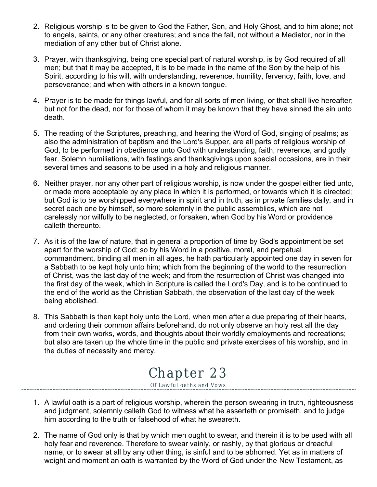- 2. Religious worship is to be given to God the Father, Son, and Holy Ghost, and to him alone; not to angels, saints, or any other creatures; and since the fall, not without a Mediator, nor in the mediation of any other but of Christ alone.
- 3. Prayer, with thanksgiving, being one special part of natural worship, is by God required of all men; but that it may be accepted, it is to be made in the name of the Son by the help of his Spirit, according to his will, with understanding, reverence, humility, fervency, faith, love, and perseverance; and when with others in a known tongue.
- 4. Prayer is to be made for things lawful, and for all sorts of men living, or that shall live hereafter; but not for the dead, nor for those of whom it may be known that they have sinned the sin unto death.
- 5. The reading of the Scriptures, preaching, and hearing the Word of God, singing of psalms; as also the administration of baptism and the Lord's Supper, are all parts of religious worship of God, to be performed in obedience unto God with understanding, faith, reverence, and godly fear. Solemn humiliations, with fastings and thanksgivings upon special occasions, are in their several times and seasons to be used in a holy and religious manner.
- 6. Neither prayer, nor any other part of religious worship, is now under the gospel either tied unto, or made more acceptable by any place in which it is performed, or towards which it is directed; but God is to be worshipped everywhere in spirit and in truth, as in private families daily, and in secret each one by himself, so more solemnly in the public assemblies, which are not carelessly nor wilfully to be neglected, or forsaken, when God by his Word or providence calleth thereunto.
- 7. As it is of the law of nature, that in general a proportion of time by God's appointment be set apart for the worship of God; so by his Word in a positive, moral, and perpetual commandment, binding all men in all ages, he hath particularly appointed one day in seven for a Sabbath to be kept holy unto him; which from the beginning of the world to the resurrection of Christ, was the last day of the week; and from the resurrection of Christ was changed into the first day of the week, which in Scripture is called the Lord's Day, and is to be continued to the end of the world as the Christian Sabbath, the observation of the last day of the week being abolished.
- 8. This Sabbath is then kept holy unto the Lord, when men after a due preparing of their hearts, and ordering their common affairs beforehand, do not only observe an holy rest all the day from their own works, words, and thoughts about their worldly employments and recreations; but also are taken up the whole time in the public and private exercises of his worship, and in the duties of necessity and mercy.

### Chapter 23 Of Lawful oaths and Vows

- 1. A lawful oath is a part of religious worship, wherein the person swearing in truth, righteousness and judgment, solemnly calleth God to witness what he asserteth or promiseth, and to judge him according to the truth or falsehood of what he sweareth.
- 2. The name of God only is that by which men ought to swear, and therein it is to be used with all holy fear and reverence. Therefore to swear vainly, or rashly, by that glorious or dreadful name, or to swear at all by any other thing, is sinful and to be abhorred. Yet as in matters of weight and moment an oath is warranted by the Word of God under the New Testament, as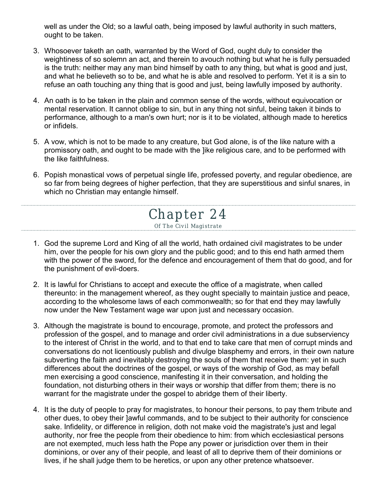well as under the Old; so a lawful oath, being imposed by lawful authority in such matters, ought to be taken.

- 3. Whosoever taketh an oath, warranted by the Word of God, ought duly to consider the weightiness of so solemn an act, and therein to avouch nothing but what he is fully persuaded is the truth: neither may any man bind himself by oath to any thing, but what is good and just, and what he believeth so to be, and what he is able and resolved to perform. Yet it is a sin to refuse an oath touching any thing that is good and just, being lawfully imposed by authority.
- 4. An oath is to be taken in the plain and common sense of the words, without equivocation or mental reservation. It cannot oblige to sin, but in any thing not sinful, being taken it binds to performance, although to a man's own hurt; nor is it to be violated, although made to heretics or infidels.
- 5. A vow, which is not to be made to any creature, but God alone, is of the like nature with a promissory oath, and ought to be made with the ]ike religious care, and to be performed with the like faithfulness.
- 6. Popish monastical vows of perpetual single life, professed poverty, and regular obedience, are so far from being degrees of higher perfection, that they are superstitious and sinful snares, in which no Christian may entangle himself.

### Chapter 24 Of The Civil Magistrate

- 1. God the supreme Lord and King of all the world, hath ordained civil magistrates to be under him, over the people for his own glory and the public good; and to this end hath armed them with the power of the sword, for the defence and encouragement of them that do good, and for the punishment of evil-doers.
- 2. It is lawful for Christians to accept and execute the office of a magistrate, when called thereunto: in the management whereof, as they ought specially to maintain justice and peace, according to the wholesome laws of each commonwealth; so for that end they may lawfully now under the New Testament wage war upon just and necessary occasion.
- 3. Although the magistrate is bound to encourage, promote, and protect the professors and profession of the gospel, and to manage and order civil administrations in a due subserviency to the interest of Christ in the world, and to that end to take care that men of corrupt minds and conversations do not licentiously publish and divulge blasphemy and errors, in their own nature subverting the faith and inevitably destroying the souls of them that receive them: yet in such differences about the doctrines of the gospel, or ways of the worship of God, as may befall men exercising a good conscience, manifesting it in their conversation, and holding the foundation, not disturbing others in their ways or worship that differ from them; there is no warrant for the magistrate under the gospel to abridge them of their liberty.
- 4. It is the duty of people to pray for magistrates, to honour their persons, to pay them tribute and other dues, to obey their ]awful commands, and to be subject to their authority for conscience sake. Infidelity, or difference in religion, doth not make void the magistrate's just and legal authority, nor free the people from their obedience to him: from which ecclesiastical persons are not exempted, much less hath the Pope any power or jurisdiction over them in their dominions, or over any of their people, and least of all to deprive them of their dominions or lives, if he shall judge them to be heretics, or upon any other pretence whatsoever.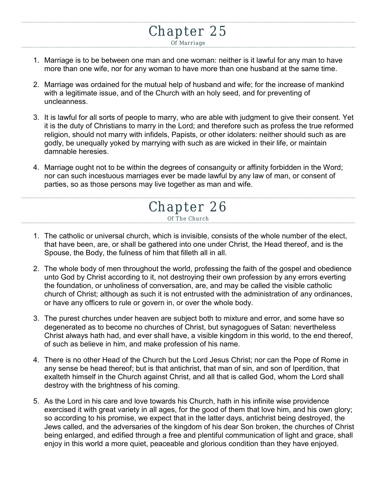#### 1. Marriage is to be between one man and one woman: neither is it lawful for any man to have more than one wife, nor for any woman to have more than one husband at the same time.

Chapter 25 Of Marriage

- 2. Marriage was ordained for the mutual help of husband and wife; for the increase of mankind with a legitimate issue, and of the Church with an holy seed, and for preventing of uncleanness.
- 3. It is lawful for all sorts of people to marry, who are able with judgment to give their consent. Yet it is the duty of Christians to marry in the Lord; and therefore such as profess the true reformed religion, should not marry with infidels, Papists, or other idolaters: neither should such as are godly, be unequally yoked by marrying with such as are wicked in their life, or maintain damnable heresies.
- 4. Marriage ought not to be within the degrees of consanguity or affinity forbidden in the Word; nor can such incestuous marriages ever be made lawful by any law of man, or consent of parties, so as those persons may live together as man and wife.

Chapter 26 Of The Church

- 1. The catholic or universal church, which is invisible, consists of the whole number of the elect, that have been, are, or shall be gathered into one under Christ, the Head thereof, and is the Spouse, the Body, the fulness of him that filleth all in all.
- 2. The whole body of men throughout the world, professing the faith of the gospel and obedience unto God by Christ according to it, not destroying their own profession by any errors everting the foundation, or unholiness of conversation, are, and may be called the visible catholic church of Christ; although as such it is not entrusted with the administration of any ordinances, or have any officers to rule or govern in, or over the whole body.
- 3. The purest churches under heaven are subject both to mixture and error, and some have so degenerated as to become no churches of Christ, but synagogues of Satan: nevertheless Christ always hath had, and ever shall have, a visible kingdom in this world, to the end thereof, of such as believe in him, and make profession of his name.
- 4. There is no other Head of the Church but the Lord Jesus Christ; nor can the Pope of Rome in any sense be head thereof; but is that antichrist, that man of sin, and son of Iperdition, that exalteth himself in the Church against Christ, and all that is called God, whom the Lord shall destroy with the brightness of his coming.
- 5. As the Lord in his care and love towards his Church, hath in his infinite wise providence exercised it with great variety in all ages, for the good of them that love him, and his own glory; so according to his promise, we expect that in the latter days, antichrist being destroyed, the Jews called, and the adversaries of the kingdom of his dear Son broken, the churches of Christ being enlarged, and edified through a free and plentiful communication of light and grace, shall enjoy in this world a more quiet, peaceable and glorious condition than they have enjoyed.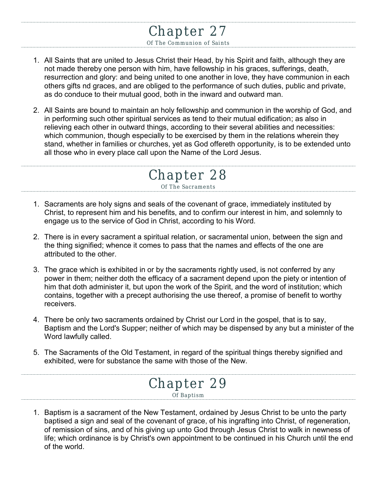Chapter 27 Of The Communion of Saints

- 1. All Saints that are united to Jesus Christ their Head, by his Spirit and faith, although they are not made thereby one person with him, have fellowship in his graces, sufferings, death, resurrection and glory: and being united to one another in love, they have communion in each others gifts nd graces, and are obliged to the performance of such duties, public and private, as do conduce to their mutual good, both in the inward and outward man.
- 2. All Saints are bound to maintain an holy fellowship and communion in the worship of God, and in performing such other spiritual services as tend to their mutual edification; as also in relieving each other in outward things, according to their several abilities and necessities: which communion, though especially to be exercised by them in the relations wherein they stand, whether in families or churches, yet as God offereth opportunity, is to be extended unto all those who in every place call upon the Name of the Lord Jesus.

#### Chapter 28 Of The Sacraments

- 1. Sacraments are holy signs and seals of the covenant of grace, immediately instituted by Christ, to represent him and his benefits, and to confirm our interest in him, and solemnly to engage us to the service of God in Christ, according to his Word.
- 2. There is in every sacrament a spiritual relation, or sacramental union, between the sign and the thing signified; whence it comes to pass that the names and effects of the one are attributed to the other.
- 3. The grace which is exhibited in or by the sacraments rightly used, is not conferred by any power in them; neither doth the efficacy of a sacrament depend upon the piety or intention of him that doth administer it, but upon the work of the Spirit, and the word of institution; which contains, together with a precept authorising the use thereof, a promise of benefit to worthy receivers.
- 4. There be only two sacraments ordained by Christ our Lord in the gospel, that is to say, Baptism and the Lord's Supper; neither of which may be dispensed by any but a minister of the Word lawfully called.
- 5. The Sacraments of the Old Testament, in regard of the spiritual things thereby signified and exhibited, were for substance the same with those of the New.

### Chapter 29 Of Baptism

1. Baptism is a sacrament of the New Testament, ordained by Jesus Christ to be unto the party baptised a sign and seal of the covenant of grace, of his ingrafting into Christ, of regeneration, of remission of sins, and of his giving up unto God through Jesus Christ to walk in newness of life; which ordinance is by Christ's own appointment to be continued in his Church until the end of the world.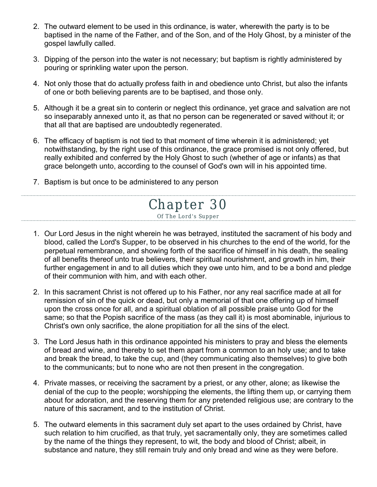- 2. The outward element to be used in this ordinance, is water, wherewith the party is to be baptised in the name of the Father, and of the Son, and of the Holy Ghost, by a minister of the gospel lawfully called.
- 3. Dipping of the person into the water is not necessary; but baptism is rightly administered by pouring or sprinkling water upon the person.
- 4. Not only those that do actually profess faith in and obedience unto Christ, but also the infants of one or both believing parents are to be baptised, and those only.
- 5. Although it be a great sin to conterin or neglect this ordinance, yet grace and salvation are not so inseparably annexed unto it, as that no person can be regenerated or saved without it; or that all that are baptised are undoubtedly regenerated.
- 6. The efficacy of baptism is not tied to that moment of time wherein it is administered; yet notwithstanding, by the right use of this ordinance, the grace promised is not only offered, but really exhibited and conferred by the Holy Ghost to such (whether of age or infants) as that grace belongeth unto, according to the counsel of God's own will in his appointed time.
- 7. Baptism is but once to be administered to any person

#### Of The Lord's Supper 1. Our Lord Jesus in the night wherein he was betrayed, instituted the sacrament of his body and blood, called the Lord's Supper, to be observed in his churches to the end of the world, for the perpetual remembrance, and showing forth of the sacrifice of himself in his death, the sealing of all benefits thereof unto true believers, their spiritual nourishment, and growth in him, their further engagement in and to all duties which they owe unto him, and to be a bond and pledge of their communion with him, and with each other.

Chapter 30

- 2. In this sacrament Christ is not offered up to his Father, nor any real sacrifice made at all for remission of sin of the quick or dead, but only a memorial of that one offering up of himself upon the cross once for all, and a spiritual oblation of all possible praise unto God for the same; so that the Popish sacrifice of the mass (as they call it) is most abominable, injurious to Christ's own only sacrifice, the alone propitiation for all the sins of the elect.
- 3. The Lord Jesus hath in this ordinance appointed his ministers to pray and bless the elements of bread and wine, and thereby to set them apart from a common to an holy use; and to take and break the bread, to take the cup, and (they communicating also themselves) to give both to the communicants; but to none who are not then present in the congregation.
- 4. Private masses, or receiving the sacrament by a priest, or any other, alone; as likewise the denial of the cup to the people; worshipping the elements, the lifting them up, or carrying them about for adoration, and the reserving them for any pretended religious use; are contrary to the nature of this sacrament, and to the institution of Christ.
- 5. The outward elements in this sacrament duly set apart to the uses ordained by Christ, have such relation to him crucified, as that truly, yet sacramentally only, they are sometimes called by the name of the things they represent, to wit, the body and blood of Christ; albeit, in substance and nature, they still remain truly and only bread and wine as they were before.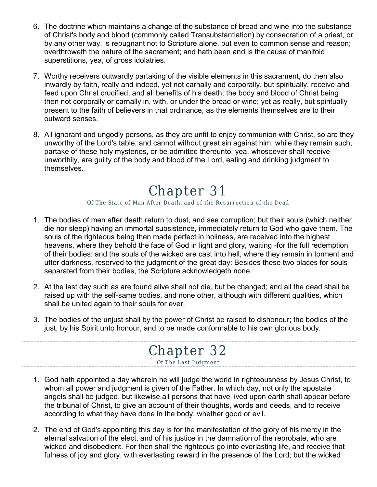- 6. The doctrine which maintains a change of the substance of bread and wine into the substance of Christ's body and blood (commonly called Transubstantiation) by consecration of a priest, or by any other way, is repugnant not to Scripture alone, but even to common sense and reason; overthroweth the nature of the sacrament; and hath been and is the cause of manifold superstitions, yea, of gross idolatries.
- 7. Worthy receivers outwardly partaking of the visible elements in this sacrament, do then also inwardly by faith, really and indeed, yet not carnally and corporally, but spiritually, receive and feed upon Christ crucified, and all benefits of his death; the body and blood of Christ being then not corporally or carnally in, with, or under the bread or wine; yet as really, but spiritually present to the faith of believers in that ordinance, as the elements themselves are to their outward senses.
- 8. All ignorant and ungodly persons, as they are unfit to enjoy communion with Christ, so are they unworthy of the Lord's table, and cannot without great sin against him, while they remain such, partake of these holy mysteries, or be admitted thereunto; yea, whosoever shall receive unworthily, are guilty of the body and blood of the Lord, eating and drinking judgment to themselves.

# Chapter 31

Of The State of Man After Death, and of the Resurrection of the Dead

- 1. The bodies of men after death return to dust, and see corruption; but their souls (which neither die nor sleep) having an immortal subsistence, immediately return to God who gave them. The souls of the righteous being then made perfect in holiness, are received into the highest heavens, where they behold the face of God in light and glory, waiting -for the full redemption of their bodies: and the souls of the wicked are cast into hell, where they remain in torment and utter darkness, reserved to the judgment of the great day: Besides these two places for souls separated from their bodies, the Scripture acknowledgeth none.
- 2. At the last day such as are found alive shall not die, but be changed; and all the dead shall be raised up with the self-same bodies, and none other, although with different qualities, which shall be united again to their souls for ever.
- 3. The bodies of the unjust shall by the power of Christ be raised to dishonour; the bodies of the just, by his Spirit unto honour, and to be made conformable to his own glorious body.

### Chapter 32 Of The Last Judgment

- 1. God hath appointed a day wherein he will judge the world in righteousness by Jesus Christ, to whom all power and judgment is given of the Father. In which day, not only the apostate angels shall be judged, but likewise all persons that have lived upon earth shall appear before the tribunal of Christ, to give an account of their thoughts, words and deeds, and to receive according to what they have done in the body, whether good or evil.
- 2. The end of God's appointing this day is for the manifestation of the glory of his mercy in the eternal salvation of the elect, and of his justice in the damnation of the reprobate, who are wicked and disobedient. For then shall the righteous go into everlasting life, and receive that fulness of joy and glory, with everlasting reward in the presence of the Lord; but the wicked